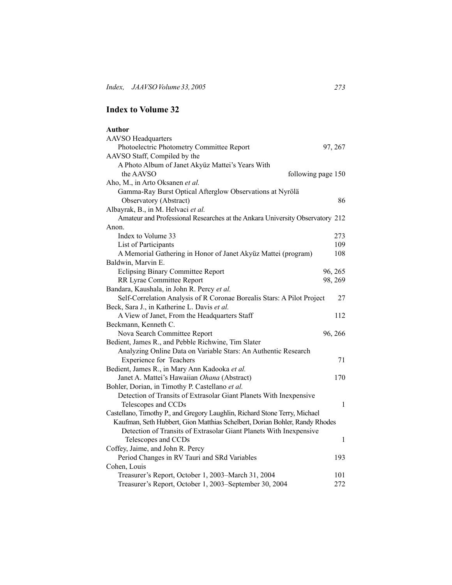## **Index to Volume 32**

| Author                                                                       |              |
|------------------------------------------------------------------------------|--------------|
| <b>AAVSO</b> Headquarters                                                    |              |
| Photoelectric Photometry Committee Report                                    | 97, 267      |
| AAVSO Staff, Compiled by the                                                 |              |
| A Photo Album of Janet Akyüz Mattei's Years With                             |              |
| the AAVSO<br>following page 150                                              |              |
| Aho, M., in Arto Oksanen et al.                                              |              |
| Gamma-Ray Burst Optical Afterglow Observations at Nyrölä                     |              |
| Observatory (Abstract)                                                       | 86           |
| Albayrak, B., in M. Helvaci et al.                                           |              |
| Amateur and Professional Researches at the Ankara University Observatory 212 |              |
| Anon.                                                                        |              |
| Index to Volume 33                                                           | 273          |
| List of Participants                                                         | 109          |
| A Memorial Gathering in Honor of Janet Akyüz Mattei (program)                | 108          |
| Baldwin, Marvin E.                                                           |              |
| <b>Eclipsing Binary Committee Report</b>                                     | 96, 265      |
| RR Lyrae Committee Report                                                    | 98, 269      |
| Bandara, Kaushala, in John R. Percy et al.                                   |              |
| Self-Correlation Analysis of R Coronae Borealis Stars: A Pilot Project       | 27           |
| Beck, Sara J., in Katherine L. Davis et al.                                  |              |
| A View of Janet, From the Headquarters Staff                                 | 112          |
| Beckmann, Kenneth C.                                                         |              |
| Nova Search Committee Report                                                 | 96, 266      |
| Bedient, James R., and Pebble Richwine, Tim Slater                           |              |
| Analyzing Online Data on Variable Stars: An Authentic Research               |              |
| <b>Experience for Teachers</b>                                               | 71           |
| Bedient, James R., in Mary Ann Kadooka et al.                                |              |
| Janet A. Mattei's Hawaiian Ohana (Abstract)                                  | 170          |
| Bohler, Dorian, in Timothy P. Castellano et al.                              |              |
| Detection of Transits of Extrasolar Giant Planets With Inexpensive           |              |
| Telescopes and CCDs                                                          | $\mathbf{1}$ |
| Castellano, Timothy P., and Gregory Laughlin, Richard Stone Terry, Michael   |              |
| Kaufman, Seth Hubbert, Gion Matthias Schelbert, Dorian Bohler, Randy Rhodes  |              |
| Detection of Transits of Extrasolar Giant Planets With Inexpensive           |              |
| Telescopes and CCDs                                                          | 1            |
| Coffey, Jaime, and John R. Percy                                             |              |
| Period Changes in RV Tauri and SRd Variables                                 | 193          |
| Cohen, Louis                                                                 |              |
| Treasurer's Report, October 1, 2003-March 31, 2004                           | 101          |
| Treasurer's Report, October 1, 2003-September 30, 2004                       | 272          |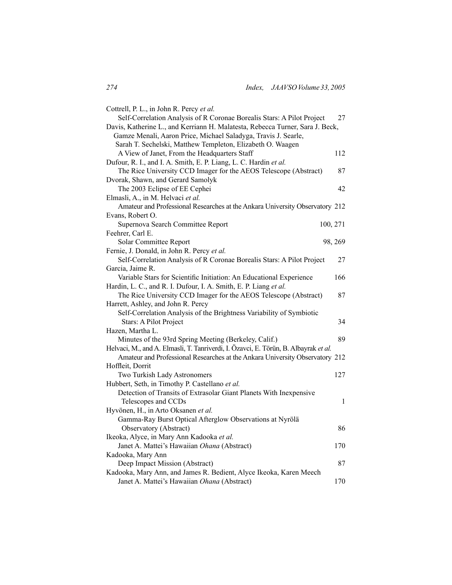| Cottrell, P. L., in John R. Percy et al.                                            |              |
|-------------------------------------------------------------------------------------|--------------|
| Self-Correlation Analysis of R Coronae Borealis Stars: A Pilot Project              | 27           |
| Davis, Katherine L., and Kerriann H. Malatesta, Rebecca Turner, Sara J. Beck,       |              |
| Gamze Menali, Aaron Price, Michael Saladyga, Travis J. Searle,                      |              |
| Sarah T. Sechelski, Matthew Templeton, Elizabeth O. Waagen                          |              |
| A View of Janet, From the Headquarters Staff                                        | 112          |
| Dufour, R. I., and I. A. Smith, E. P. Liang, L. C. Hardin et al.                    |              |
| The Rice University CCD Imager for the AEOS Telescope (Abstract)                    | 87           |
| Dvorak, Shawn, and Gerard Samolyk                                                   |              |
| The 2003 Eclipse of EE Cephei                                                       | 42           |
| Elmasli, A., in M. Helvaci et al.                                                   |              |
| Amateur and Professional Researches at the Ankara University Observatory 212        |              |
| Evans, Robert O.                                                                    |              |
| Supernova Search Committee Report                                                   | 100, 271     |
| Feehrer, Carl E.                                                                    |              |
| Solar Committee Report                                                              | 98, 269      |
| Fernie, J. Donald, in John R. Percy et al.                                          |              |
| Self-Correlation Analysis of R Coronae Borealis Stars: A Pilot Project              | 27           |
| Garcia, Jaime R.                                                                    |              |
| Variable Stars for Scientific Initiation: An Educational Experience                 | 166          |
| Hardin, L. C., and R. I. Dufour, I. A. Smith, E. P. Liang et al.                    |              |
| The Rice University CCD Imager for the AEOS Telescope (Abstract)                    | 87           |
| Harrett, Ashley, and John R. Percy                                                  |              |
| Self-Correlation Analysis of the Brightness Variability of Symbiotic                |              |
| Stars: A Pilot Project                                                              | 34           |
| Hazen, Martha L.                                                                    |              |
| Minutes of the 93rd Spring Meeting (Berkeley, Calif.)                               | 89           |
| Helvaci, M., and A. Elmasli, T. Tanriverdi, I. Özavci, E. Törün, B. Albayrak et al. |              |
| Amateur and Professional Researches at the Ankara University Observatory 212        |              |
| Hoffleit, Dorrit                                                                    |              |
| Two Turkish Lady Astronomers                                                        | 127          |
| Hubbert, Seth, in Timothy P. Castellano et al.                                      |              |
| Detection of Transits of Extrasolar Giant Planets With Inexpensive                  |              |
| Telescopes and CCDs                                                                 | $\mathbf{1}$ |
| Hyvönen, H., in Arto Oksanen et al.                                                 |              |
| Gamma-Ray Burst Optical Afterglow Observations at Nyrölä                            |              |
| Observatory (Abstract)                                                              | 86           |
| Ikeoka, Alyce, in Mary Ann Kadooka et al.                                           |              |
| Janet A. Mattei's Hawaiian Ohana (Abstract)                                         | 170          |
| Kadooka, Mary Ann                                                                   |              |
| Deep Impact Mission (Abstract)                                                      | 87           |
| Kadooka, Mary Ann, and James R. Bedient, Alyce Ikeoka, Karen Meech                  |              |
| Janet A. Mattei's Hawaiian Ohana (Abstract)                                         | 170          |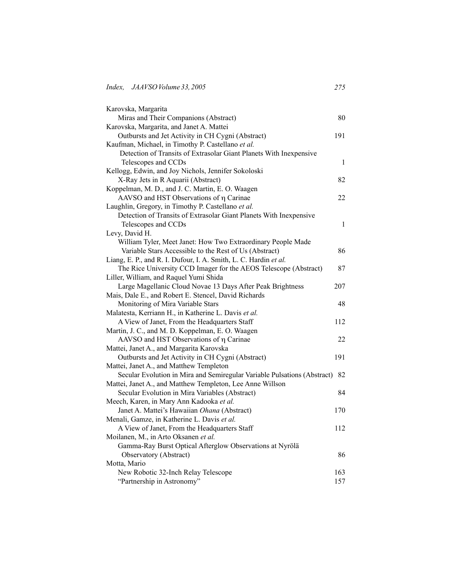| Karovska, Margarita                                                      |     |
|--------------------------------------------------------------------------|-----|
| Miras and Their Companions (Abstract)                                    | 80  |
| Karovska, Margarita, and Janet A. Mattei                                 |     |
| Outbursts and Jet Activity in CH Cygni (Abstract)                        | 191 |
| Kaufman, Michael, in Timothy P. Castellano et al.                        |     |
| Detection of Transits of Extrasolar Giant Planets With Inexpensive       |     |
| Telescopes and CCDs                                                      | 1   |
| Kellogg, Edwin, and Joy Nichols, Jennifer Sokoloski                      |     |
| X-Ray Jets in R Aquarii (Abstract)                                       | 82  |
| Koppelman, M. D., and J. C. Martin, E. O. Waagen                         |     |
| AAVSO and HST Observations of η Carinae                                  | 22. |
| Laughlin, Gregory, in Timothy P. Castellano et al.                       |     |
| Detection of Transits of Extrasolar Giant Planets With Inexpensive       |     |
| Telescopes and CCDs                                                      | 1   |
| Levy, David H.                                                           |     |
| William Tyler, Meet Janet: How Two Extraordinary People Made             |     |
| Variable Stars Accessible to the Rest of Us (Abstract)                   | 86  |
| Liang, E. P., and R. I. Dufour, I. A. Smith, L. C. Hardin et al.         |     |
| The Rice University CCD Imager for the AEOS Telescope (Abstract)         | 87  |
| Liller, William, and Raquel Yumi Shida                                   |     |
| Large Magellanic Cloud Novae 13 Days After Peak Brightness               | 207 |
| Mais, Dale E., and Robert E. Stencel, David Richards                     |     |
| Monitoring of Mira Variable Stars                                        | 48  |
| Malatesta, Kerriann H., in Katherine L. Davis et al.                     |     |
| A View of Janet, From the Headquarters Staff                             | 112 |
| Martin, J. C., and M. D. Koppelman, E. O. Waagen                         |     |
| AAVSO and HST Observations of η Carinae                                  | 22  |
| Mattei, Janet A., and Margarita Karovska                                 |     |
| Outbursts and Jet Activity in CH Cygni (Abstract)                        | 191 |
| Mattei, Janet A., and Matthew Templeton                                  |     |
| Secular Evolution in Mira and Semiregular Variable Pulsations (Abstract) | 82  |
| Mattei, Janet A., and Matthew Templeton, Lee Anne Willson                |     |
| Secular Evolution in Mira Variables (Abstract)                           | 84  |
| Meech, Karen, in Mary Ann Kadooka et al.                                 |     |
| Janet A. Mattei's Hawaiian Ohana (Abstract)                              | 170 |
| Menali, Gamze, in Katherine L. Davis et al.                              |     |
| A View of Janet, From the Headquarters Staff                             | 112 |
| Moilanen, M., in Arto Oksanen et al.                                     |     |
| Gamma-Ray Burst Optical Afterglow Observations at Nyrölä                 |     |
| Observatory (Abstract)                                                   | 86  |
| Motta, Mario                                                             |     |
| New Robotic 32-Inch Relay Telescope                                      | 163 |
| "Partnership in Astronomy"                                               | 157 |
|                                                                          |     |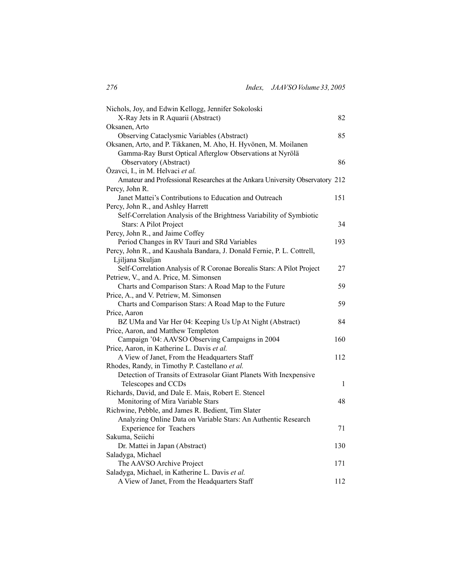| Nichols, Joy, and Edwin Kellogg, Jennifer Sokoloski                          |       |
|------------------------------------------------------------------------------|-------|
| X-Ray Jets in R Aquarii (Abstract)                                           | 82    |
| Oksanen, Arto                                                                |       |
| Observing Cataclysmic Variables (Abstract)                                   | 85    |
| Oksanen, Arto, and P. Tikkanen, M. Aho, H. Hyvönen, M. Moilanen              |       |
| Gamma-Ray Burst Optical Afterglow Observations at Nyrölä                     |       |
| Observatory (Abstract)                                                       | 86    |
| Özavci, I., in M. Helvaci et al.                                             |       |
| Amateur and Professional Researches at the Ankara University Observatory 212 |       |
| Percy, John R.                                                               |       |
| Janet Mattei's Contributions to Education and Outreach                       | 151   |
| Percy, John R., and Ashley Harrett                                           |       |
| Self-Correlation Analysis of the Brightness Variability of Symbiotic         |       |
| Stars: A Pilot Project                                                       | 34    |
| Percy, John R., and Jaime Coffey                                             |       |
| Period Changes in RV Tauri and SRd Variables                                 | 193   |
| Percy, John R., and Kaushala Bandara, J. Donald Fernie, P. L. Cottrell,      |       |
| Ljiljana Skuljan                                                             |       |
| Self-Correlation Analysis of R Coronae Borealis Stars: A Pilot Project       | 27    |
| Petriew, V., and A. Price, M. Simonsen                                       |       |
| Charts and Comparison Stars: A Road Map to the Future                        | 59    |
| Price, A., and V. Petriew, M. Simonsen                                       |       |
| Charts and Comparison Stars: A Road Map to the Future                        | 59    |
| Price, Aaron                                                                 |       |
| BZ UMa and Var Her 04: Keeping Us Up At Night (Abstract)                     | 84    |
| Price, Aaron, and Matthew Templeton                                          |       |
| Campaign '04: AAVSO Observing Campaigns in 2004                              | 160   |
| Price, Aaron, in Katherine L. Davis et al.                                   |       |
| A View of Janet, From the Headquarters Staff                                 | 112   |
| Rhodes, Randy, in Timothy P. Castellano et al.                               |       |
| Detection of Transits of Extrasolar Giant Planets With Inexpensive           |       |
| Telescopes and CCDs                                                          | $\,1$ |
| Richards, David, and Dale E. Mais, Robert E. Stencel                         |       |
| Monitoring of Mira Variable Stars                                            | 48    |
| Richwine, Pebble, and James R. Bedient, Tim Slater                           |       |
| Analyzing Online Data on Variable Stars: An Authentic Research               |       |
| <b>Experience for Teachers</b>                                               | 71    |
| Sakuma, Seiichi                                                              |       |
| Dr. Mattei in Japan (Abstract)                                               | 130   |
| Saladyga, Michael                                                            |       |
| The AAVSO Archive Project                                                    | 171   |
| Saladyga, Michael, in Katherine L. Davis et al.                              |       |
| A View of Janet, From the Headquarters Staff                                 | 112   |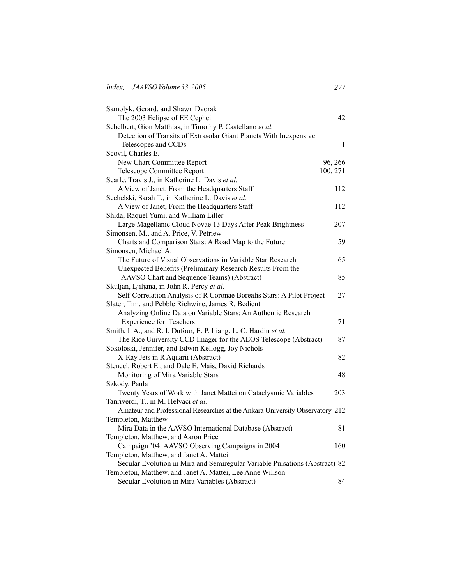| Samolyk, Gerard, and Shawn Dvorak                                            |          |
|------------------------------------------------------------------------------|----------|
| The 2003 Eclipse of EE Cephei                                                | 42       |
| Schelbert, Gion Matthias, in Timothy P. Castellano et al.                    |          |
| Detection of Transits of Extrasolar Giant Planets With Inexpensive           |          |
| Telescopes and CCDs                                                          | 1        |
| Scovil, Charles E.                                                           |          |
| New Chart Committee Report                                                   | 96, 266  |
| Telescope Committee Report                                                   | 100, 271 |
| Searle, Travis J., in Katherine L. Davis et al.                              |          |
| A View of Janet, From the Headquarters Staff                                 | 112      |
| Sechelski, Sarah T., in Katherine L. Davis et al.                            |          |
| A View of Janet, From the Headquarters Staff                                 | 112      |
| Shida, Raquel Yumi, and William Liller                                       |          |
| Large Magellanic Cloud Novae 13 Days After Peak Brightness                   | 207      |
| Simonsen, M., and A. Price, V. Petriew                                       |          |
| Charts and Comparison Stars: A Road Map to the Future                        | 59       |
| Simonsen, Michael A.                                                         |          |
| The Future of Visual Observations in Variable Star Research                  | 65       |
| Unexpected Benefits (Preliminary Research Results From the                   |          |
| AAVSO Chart and Sequence Teams) (Abstract)                                   | 85       |
| Skuljan, Ljiljana, in John R. Percy et al.                                   |          |
| Self-Correlation Analysis of R Coronae Borealis Stars: A Pilot Project       | 27       |
| Slater, Tim, and Pebble Richwine, James R. Bedient                           |          |
| Analyzing Online Data on Variable Stars: An Authentic Research               |          |
| Experience for Teachers                                                      | 71       |
| Smith, I. A., and R. I. Dufour, E. P. Liang, L. C. Hardin et al.             |          |
| The Rice University CCD Imager for the AEOS Telescope (Abstract)             | 87       |
| Sokoloski, Jennifer, and Edwin Kellogg, Joy Nichols                          |          |
| X-Ray Jets in R Aquarii (Abstract)                                           | 82       |
| Stencel, Robert E., and Dale E. Mais, David Richards                         |          |
| Monitoring of Mira Variable Stars                                            | 48       |
| Szkody, Paula                                                                |          |
| Twenty Years of Work with Janet Mattei on Cataclysmic Variables              | 203      |
| Tanriverdi, T., in M. Helvaci et al.                                         |          |
| Amateur and Professional Researches at the Ankara University Observatory 212 |          |
| Templeton, Matthew                                                           |          |
| Mira Data in the AAVSO International Database (Abstract)                     | 81       |
| Templeton, Matthew, and Aaron Price                                          |          |
| Campaign '04: AAVSO Observing Campaigns in 2004                              | 160      |
| Templeton, Matthew, and Janet A. Mattei                                      |          |
| Secular Evolution in Mira and Semiregular Variable Pulsations (Abstract) 82  |          |
| Templeton, Matthew, and Janet A. Mattei, Lee Anne Willson                    |          |
| Secular Evolution in Mira Variables (Abstract)                               | 84       |
|                                                                              |          |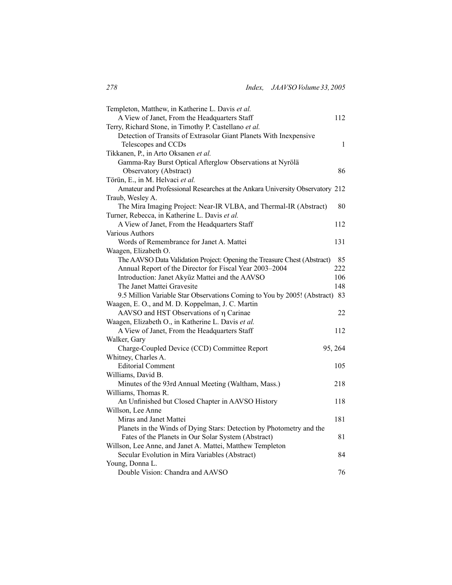| Templeton, Matthew, in Katherine L. Davis et al.                             |              |
|------------------------------------------------------------------------------|--------------|
| A View of Janet, From the Headquarters Staff                                 | 112          |
| Terry, Richard Stone, in Timothy P. Castellano et al.                        |              |
| Detection of Transits of Extrasolar Giant Planets With Inexpensive           |              |
| Telescopes and CCDs                                                          | $\mathbf{1}$ |
| Tikkanen, P., in Arto Oksanen et al.                                         |              |
| Gamma-Ray Burst Optical Afterglow Observations at Nyrölä                     |              |
| Observatory (Abstract)                                                       | 86           |
| Törün, E., in M. Helvaci et al.                                              |              |
| Amateur and Professional Researches at the Ankara University Observatory 212 |              |
| Traub, Wesley A.                                                             |              |
| The Mira Imaging Project: Near-IR VLBA, and Thermal-IR (Abstract)            | 80           |
| Turner, Rebecca, in Katherine L. Davis et al.                                |              |
| A View of Janet, From the Headquarters Staff                                 | 112          |
| <b>Various Authors</b>                                                       |              |
| Words of Remembrance for Janet A. Mattei                                     | 131          |
| Waagen, Elizabeth O.                                                         |              |
| The AAVSO Data Validation Project: Opening the Treasure Chest (Abstract)     | 85           |
| Annual Report of the Director for Fiscal Year 2003-2004                      | 222          |
| Introduction: Janet Akyüz Mattei and the AAVSO                               | 106          |
| The Janet Mattei Gravesite                                                   | 148          |
| 9.5 Million Variable Star Observations Coming to You by 2005! (Abstract)     | 83           |
| Waagen, E. O., and M. D. Koppelman, J. C. Martin                             |              |
| AAVSO and HST Observations of η Carinae                                      | 22           |
| Waagen, Elizabeth O., in Katherine L. Davis et al.                           |              |
| A View of Janet, From the Headquarters Staff                                 | 112          |
| Walker, Gary                                                                 |              |
| Charge-Coupled Device (CCD) Committee Report                                 | 95, 264      |
| Whitney, Charles A.                                                          |              |
| <b>Editorial Comment</b>                                                     | 105          |
| Williams, David B.                                                           |              |
| Minutes of the 93rd Annual Meeting (Waltham, Mass.)                          | 218          |
| Williams, Thomas R.                                                          |              |
| An Unfinished but Closed Chapter in AAVSO History                            | 118          |
| Willson, Lee Anne                                                            |              |
| Miras and Janet Mattei                                                       | 181          |
| Planets in the Winds of Dying Stars: Detection by Photometry and the         |              |
| Fates of the Planets in Our Solar System (Abstract)                          | 81           |
| Willson, Lee Anne, and Janet A. Mattei, Matthew Templeton                    |              |
| Secular Evolution in Mira Variables (Abstract)                               | 84           |
| Young, Donna L.                                                              |              |
| Double Vision: Chandra and AAVSO                                             | 76           |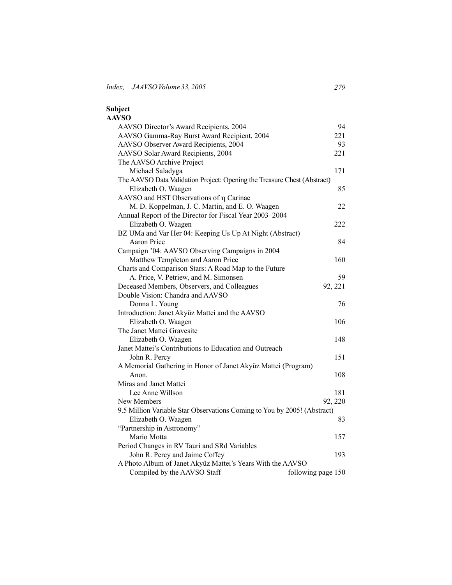| Subject                                                                  |                    |
|--------------------------------------------------------------------------|--------------------|
| <b>AAVSO</b>                                                             |                    |
| AAVSO Director's Award Recipients, 2004                                  | 94                 |
| AAVSO Gamma-Ray Burst Award Recipient, 2004                              | 221                |
| AAVSO Observer Award Recipients, 2004                                    | 93                 |
| AAVSO Solar Award Recipients, 2004                                       | 221                |
| The AAVSO Archive Project                                                |                    |
| Michael Saladyga                                                         | 171                |
| The AAVSO Data Validation Project: Opening the Treasure Chest (Abstract) |                    |
| Elizabeth O. Waagen                                                      | 85                 |
| AAVSO and HST Observations of η Carinae                                  |                    |
| M. D. Koppelman, J. C. Martin, and E. O. Waagen                          | 22                 |
| Annual Report of the Director for Fiscal Year 2003-2004                  |                    |
| Elizabeth O. Waagen                                                      | 222                |
| BZ UMa and Var Her 04: Keeping Us Up At Night (Abstract)                 |                    |
| <b>Aaron Price</b>                                                       | 84                 |
| Campaign '04: AAVSO Observing Campaigns in 2004                          |                    |
| Matthew Templeton and Aaron Price                                        | 160                |
| Charts and Comparison Stars: A Road Map to the Future                    |                    |
| A. Price, V. Petriew, and M. Simonsen                                    | 59                 |
| Deceased Members, Observers, and Colleagues                              | 92, 221            |
| Double Vision: Chandra and AAVSO                                         |                    |
| Donna L. Young                                                           | 76                 |
| Introduction: Janet Akyüz Mattei and the AAVSO                           |                    |
| Elizabeth O. Waagen                                                      | 106                |
| The Janet Mattei Gravesite                                               |                    |
| Elizabeth O. Waagen                                                      | 148                |
| Janet Mattei's Contributions to Education and Outreach                   |                    |
| John R. Percy                                                            | 151                |
| A Memorial Gathering in Honor of Janet Akyüz Mattei (Program)            |                    |
| Anon.                                                                    | 108                |
| Miras and Janet Mattei                                                   |                    |
| Lee Anne Willson                                                         | 181                |
| New Members                                                              | 92, 220            |
| 9.5 Million Variable Star Observations Coming to You by 2005! (Abstract) |                    |
| Elizabeth O. Waagen                                                      | 83                 |
| "Partnership in Astronomy"                                               |                    |
| Mario Motta                                                              | 157                |
| Period Changes in RV Tauri and SRd Variables                             |                    |
| John R. Percy and Jaime Coffey                                           | 193                |
| A Photo Album of Janet Akyüz Mattei's Years With the AAVSO               |                    |
| Compiled by the AAVSO Staff                                              | following page 150 |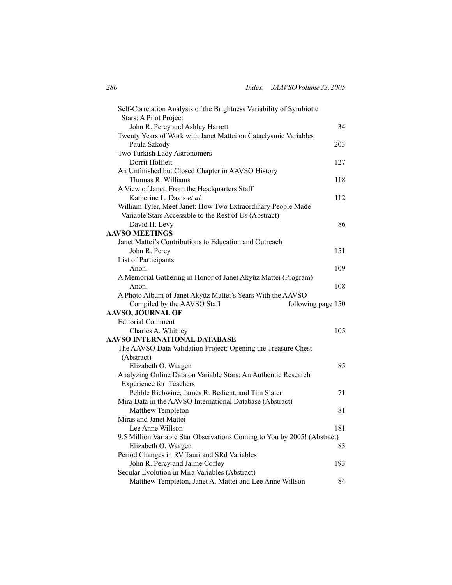| Self-Correlation Analysis of the Brightness Variability of Symbiotic<br>Stars: A Pilot Project |     |
|------------------------------------------------------------------------------------------------|-----|
| John R. Percy and Ashley Harrett                                                               | 34  |
| Twenty Years of Work with Janet Mattei on Cataclysmic Variables                                |     |
| Paula Szkody                                                                                   | 203 |
| Two Turkish Lady Astronomers                                                                   |     |
| Dorrit Hoffleit                                                                                | 127 |
| An Unfinished but Closed Chapter in AAVSO History                                              |     |
| Thomas R. Williams                                                                             | 118 |
| A View of Janet, From the Headquarters Staff                                                   |     |
| Katherine L. Davis et al.                                                                      | 112 |
| William Tyler, Meet Janet: How Two Extraordinary People Made                                   |     |
| Variable Stars Accessible to the Rest of Us (Abstract)                                         |     |
| David H. Levy                                                                                  | 86  |
| <b>AAVSO MEETINGS</b>                                                                          |     |
| Janet Mattei's Contributions to Education and Outreach                                         |     |
|                                                                                                | 151 |
| John R. Percy                                                                                  |     |
| List of Participants                                                                           |     |
| Anon.                                                                                          | 109 |
| A Memorial Gathering in Honor of Janet Akyüz Mattei (Program)                                  |     |
| Anon.                                                                                          | 108 |
| A Photo Album of Janet Akyüz Mattei's Years With the AAVSO                                     |     |
| Compiled by the AAVSO Staff<br>following page 150                                              |     |
| <b>AAVSO, JOURNAL OF</b>                                                                       |     |
| <b>Editorial Comment</b>                                                                       |     |
| Charles A. Whitney                                                                             | 105 |
| <b>AAVSO INTERNATIONAL DATABASE</b>                                                            |     |
| The AAVSO Data Validation Project: Opening the Treasure Chest                                  |     |
| (Abstract)                                                                                     |     |
| Elizabeth O. Waagen                                                                            | 85  |
| Analyzing Online Data on Variable Stars: An Authentic Research                                 |     |
| <b>Experience for Teachers</b>                                                                 |     |
| Pebble Richwine, James R. Bedient, and Tim Slater                                              | 71  |
| Mira Data in the AAVSO International Database (Abstract)                                       |     |
| Matthew Templeton                                                                              | 81  |
| Miras and Janet Mattei                                                                         |     |
| Lee Anne Willson                                                                               | 181 |
| 9.5 Million Variable Star Observations Coming to You by 2005! (Abstract)                       |     |
| Elizabeth O. Waagen                                                                            | 83  |
| Period Changes in RV Tauri and SRd Variables                                                   |     |
| John R. Percy and Jaime Coffey                                                                 | 193 |
| Secular Evolution in Mira Variables (Abstract)                                                 |     |
| Matthew Templeton, Janet A. Mattei and Lee Anne Willson                                        | 84  |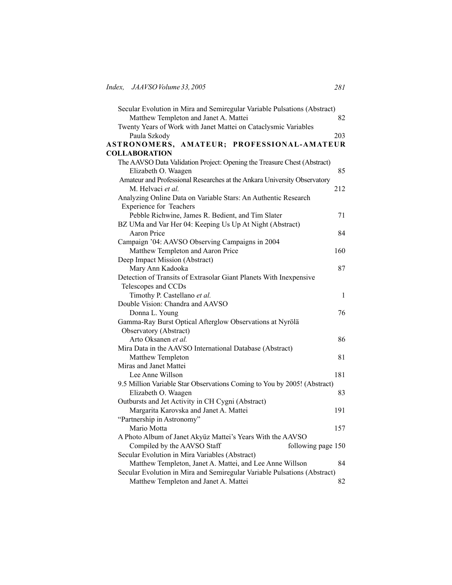| Secular Evolution in Mira and Semiregular Variable Pulsations (Abstract) |     |
|--------------------------------------------------------------------------|-----|
| Matthew Templeton and Janet A. Mattei                                    | 82  |
| Twenty Years of Work with Janet Mattei on Cataclysmic Variables          |     |
| Paula Szkody                                                             | 203 |
| ASTRONOMERS, AMATEUR; PROFESSIONAL-AMATEUR                               |     |
| <b>COLLABORATION</b>                                                     |     |
| The AAVSO Data Validation Project: Opening the Treasure Chest (Abstract) |     |
| Elizabeth O. Waagen                                                      | 85  |
| Amateur and Professional Researches at the Ankara University Observatory |     |
| M. Helvaci et al.                                                        | 212 |
| Analyzing Online Data on Variable Stars: An Authentic Research           |     |
| <b>Experience for Teachers</b>                                           |     |
| Pebble Richwine, James R. Bedient, and Tim Slater                        | 71  |
| BZ UMa and Var Her 04: Keeping Us Up At Night (Abstract)                 |     |
| <b>Aaron Price</b>                                                       | 84  |
| Campaign '04: AAVSO Observing Campaigns in 2004                          |     |
| Matthew Templeton and Aaron Price                                        | 160 |
| Deep Impact Mission (Abstract)                                           |     |
| Mary Ann Kadooka                                                         | 87  |
| Detection of Transits of Extrasolar Giant Planets With Inexpensive       |     |
| Telescopes and CCDs                                                      |     |
| Timothy P. Castellano et al.                                             | 1   |
| Double Vision: Chandra and AAVSO                                         |     |
| Donna L. Young                                                           | 76  |
| Gamma-Ray Burst Optical Afterglow Observations at Nyrölä                 |     |
| Observatory (Abstract)                                                   |     |
| Arto Oksanen et al.                                                      | 86  |
| Mira Data in the AAVSO International Database (Abstract)                 |     |
| Matthew Templeton                                                        | 81  |
| Miras and Janet Mattei                                                   |     |
| Lee Anne Willson                                                         | 181 |
| 9.5 Million Variable Star Observations Coming to You by 2005! (Abstract) |     |
| Elizabeth O. Waagen                                                      | 83  |
| Outbursts and Jet Activity in CH Cygni (Abstract)                        |     |
| Margarita Karovska and Janet A. Mattei                                   | 191 |
| "Partnership in Astronomy"                                               |     |
| Mario Motta                                                              | 157 |
| A Photo Album of Janet Akyüz Mattei's Years With the AAVSO               |     |
| Compiled by the AAVSO Staff<br>following page 150                        |     |
| Secular Evolution in Mira Variables (Abstract)                           |     |
| Matthew Templeton, Janet A. Mattei, and Lee Anne Willson                 | 84  |
| Secular Evolution in Mira and Semiregular Variable Pulsations (Abstract) |     |
| Matthew Templeton and Janet A. Mattei                                    | 82  |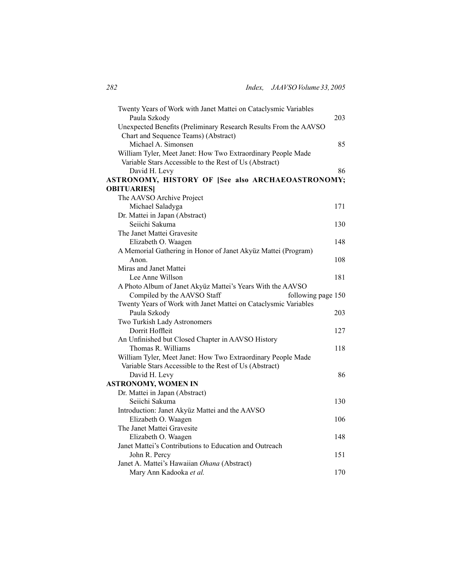| Twenty Years of Work with Janet Mattei on Cataclysmic Variables  |     |
|------------------------------------------------------------------|-----|
| Paula Szkody                                                     | 203 |
| Unexpected Benefits (Preliminary Research Results From the AAVSO |     |
| Chart and Sequence Teams) (Abstract)                             |     |
| Michael A. Simonsen                                              | 85  |
| William Tyler, Meet Janet: How Two Extraordinary People Made     |     |
| Variable Stars Accessible to the Rest of Us (Abstract)           |     |
| David H. Levy                                                    | 86  |
| ASTRONOMY, HISTORY OF [See also ARCHAEOASTRONOMY;                |     |
| <b>OBITUARIES</b>                                                |     |
| The AAVSO Archive Project                                        |     |
| Michael Saladyga                                                 | 171 |
| Dr. Mattei in Japan (Abstract)                                   |     |
| Seiichi Sakuma                                                   | 130 |
| The Janet Mattei Gravesite                                       |     |
| Elizabeth O. Waagen                                              | 148 |
| A Memorial Gathering in Honor of Janet Akyüz Mattei (Program)    |     |
| Anon.                                                            | 108 |
| Miras and Janet Mattei                                           |     |
| Lee Anne Willson                                                 | 181 |
| A Photo Album of Janet Akyüz Mattei's Years With the AAVSO       |     |
| Compiled by the AAVSO Staff<br>following page 150                |     |
| Twenty Years of Work with Janet Mattei on Cataclysmic Variables  |     |
| Paula Szkody                                                     | 203 |
| Two Turkish Lady Astronomers                                     |     |
| Dorrit Hoffleit                                                  | 127 |
| An Unfinished but Closed Chapter in AAVSO History                |     |
| Thomas R. Williams                                               | 118 |
| William Tyler, Meet Janet: How Two Extraordinary People Made     |     |
| Variable Stars Accessible to the Rest of Us (Abstract)           |     |
|                                                                  |     |
| David H. Levy                                                    | 86  |
| <b>ASTRONOMY, WOMEN IN</b>                                       |     |
| Dr. Mattei in Japan (Abstract)                                   |     |
| Seiichi Sakuma                                                   | 130 |
| Introduction: Janet Akyüz Mattei and the AAVSO                   |     |
| Elizabeth O. Waagen                                              | 106 |
| The Janet Mattei Gravesite                                       |     |
| Elizabeth O. Waagen                                              | 148 |
| Janet Mattei's Contributions to Education and Outreach           |     |
| John R. Percy                                                    | 151 |
| Janet A. Mattei's Hawaiian Ohana (Abstract)                      |     |
| Mary Ann Kadooka et al.                                          | 170 |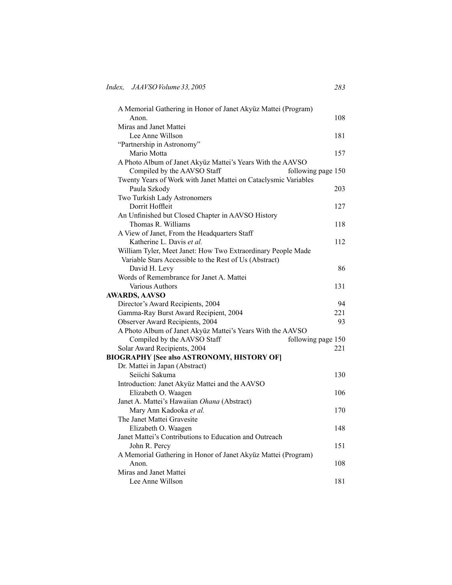| A Memorial Gathering in Honor of Janet Akyüz Mattei (Program)   |                    |
|-----------------------------------------------------------------|--------------------|
| Anon.                                                           | 108                |
| Miras and Janet Mattei                                          |                    |
| Lee Anne Willson                                                | 181                |
| "Partnership in Astronomy"                                      |                    |
| Mario Motta                                                     | 157                |
| A Photo Album of Janet Akyüz Mattei's Years With the AAVSO      |                    |
| Compiled by the AAVSO Staff                                     | following page 150 |
| Twenty Years of Work with Janet Mattei on Cataclysmic Variables |                    |
| Paula Szkody                                                    | 203                |
| Two Turkish Lady Astronomers                                    |                    |
| Dorrit Hoffleit                                                 | 127                |
| An Unfinished but Closed Chapter in AAVSO History               |                    |
| Thomas R. Williams                                              | 118                |
| A View of Janet, From the Headquarters Staff                    |                    |
| Katherine L. Davis et al.                                       | 112                |
| William Tyler, Meet Janet: How Two Extraordinary People Made    |                    |
| Variable Stars Accessible to the Rest of Us (Abstract)          |                    |
| David H. Levy                                                   | 86                 |
| Words of Remembrance for Janet A. Mattei                        |                    |
| Various Authors                                                 | 131                |
| <b>AWARDS, AAVSO</b>                                            |                    |
| Director's Award Recipients, 2004                               | 94                 |
| Gamma-Ray Burst Award Recipient, 2004                           | 221                |
| Observer Award Recipients, 2004                                 | 93                 |
| A Photo Album of Janet Akyüz Mattei's Years With the AAVSO      |                    |
| Compiled by the AAVSO Staff                                     | following page 150 |
| Solar Award Recipients, 2004                                    | 221                |
| <b>BIOGRAPHY [See also ASTRONOMY, HISTORY OF]</b>               |                    |
| Dr. Mattei in Japan (Abstract)                                  |                    |
| Seiichi Sakuma                                                  | 130                |
| Introduction: Janet Akyüz Mattei and the AAVSO                  |                    |
| Elizabeth O. Waagen                                             | 106                |
| Janet A. Mattei's Hawaiian Ohana (Abstract)                     |                    |
| Mary Ann Kadooka et al.                                         | 170                |
| The Janet Mattei Gravesite                                      |                    |
| Elizabeth O. Waagen                                             | 148                |
| Janet Mattei's Contributions to Education and Outreach          |                    |
| John R. Percy                                                   | 151                |
| A Memorial Gathering in Honor of Janet Akyüz Mattei (Program)   |                    |
| Anon.                                                           | 108                |
| Miras and Janet Mattei                                          |                    |
| Lee Anne Willson                                                | 181                |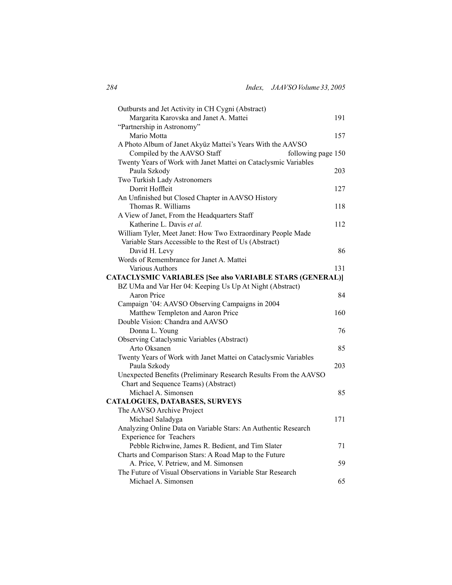| Outbursts and Jet Activity in CH Cygni (Abstract)                |     |
|------------------------------------------------------------------|-----|
| Margarita Karovska and Janet A. Mattei                           | 191 |
| "Partnership in Astronomy"                                       |     |
| Mario Motta                                                      | 157 |
| A Photo Album of Janet Akyüz Mattei's Years With the AAVSO       |     |
| Compiled by the AAVSO Staff<br>following page 150                |     |
| Twenty Years of Work with Janet Mattei on Cataclysmic Variables  |     |
| Paula Szkody                                                     | 203 |
| Two Turkish Lady Astronomers                                     |     |
| Dorrit Hoffleit                                                  | 127 |
| An Unfinished but Closed Chapter in AAVSO History                |     |
| Thomas R. Williams                                               | 118 |
| A View of Janet, From the Headquarters Staff                     |     |
| Katherine L. Davis et al.                                        | 112 |
| William Tyler, Meet Janet: How Two Extraordinary People Made     |     |
| Variable Stars Accessible to the Rest of Us (Abstract)           |     |
| David H. Levy                                                    | 86  |
| Words of Remembrance for Janet A. Mattei                         |     |
| Various Authors                                                  | 131 |
| <b>CATACLYSMIC VARIABLES [See also VARIABLE STARS (GENERAL)]</b> |     |
| BZ UMa and Var Her 04: Keeping Us Up At Night (Abstract)         |     |
| Aaron Price                                                      | 84  |
| Campaign '04: AAVSO Observing Campaigns in 2004                  |     |
| Matthew Templeton and Aaron Price                                | 160 |
| Double Vision: Chandra and AAVSO                                 |     |
| Donna L. Young                                                   | 76  |
| Observing Cataclysmic Variables (Abstract)                       |     |
| Arto Oksanen                                                     | 85  |
| Twenty Years of Work with Janet Mattei on Cataclysmic Variables  |     |
| Paula Szkody                                                     | 203 |
| Unexpected Benefits (Preliminary Research Results From the AAVSO |     |
| Chart and Sequence Teams) (Abstract)<br>Michael A. Simonsen      | 85  |
| CATALOGUES, DATABASES, SURVEYS                                   |     |
| The AAVSO Archive Project                                        |     |
| Michael Saladyga                                                 | 171 |
| Analyzing Online Data on Variable Stars: An Authentic Research   |     |
| <b>Experience for Teachers</b>                                   |     |
| Pebble Richwine, James R. Bedient, and Tim Slater                | 71  |
| Charts and Comparison Stars: A Road Map to the Future            |     |
| A. Price, V. Petriew, and M. Simonsen                            | 59  |
| The Future of Visual Observations in Variable Star Research      |     |
| Michael A. Simonsen                                              | 65  |
|                                                                  |     |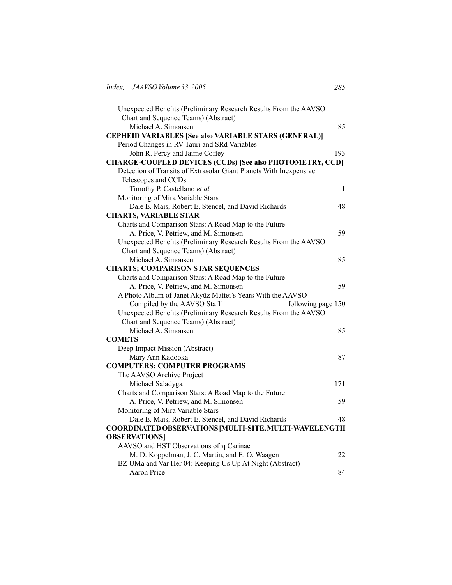| Unexpected Benefits (Preliminary Research Results From the AAVSO   |              |
|--------------------------------------------------------------------|--------------|
| Chart and Sequence Teams) (Abstract)                               |              |
| Michael A. Simonsen                                                | 85           |
| <b>CEPHEID VARIABLES [See also VARIABLE STARS (GENERAL)]</b>       |              |
| Period Changes in RV Tauri and SRd Variables                       |              |
| John R. Percy and Jaime Coffey                                     | 193          |
| <b>CHARGE-COUPLED DEVICES (CCDs) [See also PHOTOMETRY, CCD]</b>    |              |
| Detection of Transits of Extrasolar Giant Planets With Inexpensive |              |
| Telescopes and CCDs                                                |              |
| Timothy P. Castellano et al.                                       | $\mathbf{1}$ |
| Monitoring of Mira Variable Stars                                  |              |
| Dale E. Mais, Robert E. Stencel, and David Richards                | 48           |
| <b>CHARTS, VARIABLE STAR</b>                                       |              |
| Charts and Comparison Stars: A Road Map to the Future              |              |
| A. Price, V. Petriew, and M. Simonsen                              | 59           |
| Unexpected Benefits (Preliminary Research Results From the AAVSO   |              |
| Chart and Sequence Teams) (Abstract)                               |              |
| Michael A. Simonsen                                                | 85           |
| <b>CHARTS; COMPARISON STAR SEQUENCES</b>                           |              |
| Charts and Comparison Stars: A Road Map to the Future              |              |
| A. Price, V. Petriew, and M. Simonsen                              | 59           |
| A Photo Album of Janet Akyüz Mattei's Years With the AAVSO         |              |
| Compiled by the AAVSO Staff<br>following page 150                  |              |
| Unexpected Benefits (Preliminary Research Results From the AAVSO   |              |
| Chart and Sequence Teams) (Abstract)                               |              |
| Michael A. Simonsen                                                | 85           |
| <b>COMETS</b>                                                      |              |
| Deep Impact Mission (Abstract)                                     |              |
| Mary Ann Kadooka                                                   | 87           |
| <b>COMPUTERS; COMPUTER PROGRAMS</b>                                |              |
| The AAVSO Archive Project                                          |              |
| Michael Saladyga                                                   | 171          |
| Charts and Comparison Stars: A Road Map to the Future              |              |
| A. Price, V. Petriew, and M. Simonsen                              | 59           |
| Monitoring of Mira Variable Stars                                  |              |
| Dale E. Mais, Robert E. Stencel, and David Richards                | 48           |
| COORDINATED OBSERVATIONS [MULTI-SITE, MULTI-WAVELENGTH             |              |
| <b>OBSERVATIONS</b>                                                |              |
| AAVSO and HST Observations of $\eta$ Carinae                       |              |
| M. D. Koppelman, J. C. Martin, and E. O. Waagen                    | 22           |
| BZ UMa and Var Her 04: Keeping Us Up At Night (Abstract)           |              |
| <b>Aaron Price</b>                                                 | 84           |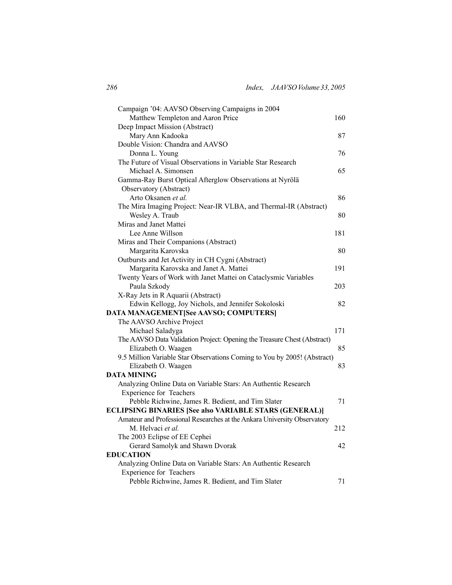| Campaign '04: AAVSO Observing Campaigns in 2004                          |     |
|--------------------------------------------------------------------------|-----|
| Matthew Templeton and Aaron Price                                        | 160 |
| Deep Impact Mission (Abstract)                                           |     |
| Mary Ann Kadooka                                                         | 87  |
| Double Vision: Chandra and AAVSO                                         |     |
| Donna L. Young                                                           | 76  |
| The Future of Visual Observations in Variable Star Research              |     |
| Michael A. Simonsen                                                      | 65  |
| Gamma-Ray Burst Optical Afterglow Observations at Nyrölä                 |     |
| Observatory (Abstract)                                                   |     |
| Arto Oksanen et al.                                                      | 86  |
| The Mira Imaging Project: Near-IR VLBA, and Thermal-IR (Abstract)        |     |
| Wesley A. Traub                                                          | 80  |
| Miras and Janet Mattei                                                   |     |
| Lee Anne Willson                                                         | 181 |
| Miras and Their Companions (Abstract)                                    |     |
| Margarita Karovska                                                       | 80  |
| Outbursts and Jet Activity in CH Cygni (Abstract)                        |     |
| Margarita Karovska and Janet A. Mattei                                   | 191 |
| Twenty Years of Work with Janet Mattei on Cataclysmic Variables          |     |
| Paula Szkody                                                             | 203 |
| X-Ray Jets in R Aquarii (Abstract)                                       |     |
| Edwin Kellogg, Joy Nichols, and Jennifer Sokoloski                       | 82  |
| DATA MANAGEMENT[See AAVSO; COMPUTERS]                                    |     |
| The AAVSO Archive Project                                                |     |
| Michael Saladyga                                                         | 171 |
| The AAVSO Data Validation Project: Opening the Treasure Chest (Abstract) |     |
| Elizabeth O. Waagen                                                      | 85  |
| 9.5 Million Variable Star Observations Coming to You by 2005! (Abstract) |     |
| Elizabeth O. Waagen                                                      | 83  |
| <b>DATA MINING</b>                                                       |     |
| Analyzing Online Data on Variable Stars: An Authentic Research           |     |
| <b>Experience for Teachers</b>                                           |     |
| Pebble Richwine, James R. Bedient, and Tim Slater                        | 71  |
| <b>ECLIPSING BINARIES [See also VARIABLE STARS (GENERAL)]</b>            |     |
| Amateur and Professional Researches at the Ankara University Observatory |     |
| M. Helvaci et al.                                                        | 212 |
| The 2003 Eclipse of EE Cephei                                            |     |
| Gerard Samolyk and Shawn Dvorak                                          | 42  |
| <b>EDUCATION</b>                                                         |     |
| Analyzing Online Data on Variable Stars: An Authentic Research           |     |
| <b>Experience for Teachers</b>                                           |     |
| Pebble Richwine, James R. Bedient, and Tim Slater                        | 71  |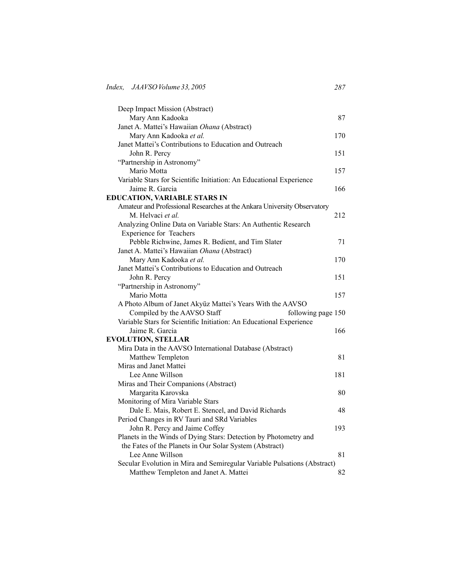| Deep Impact Mission (Abstract)                                              |     |
|-----------------------------------------------------------------------------|-----|
| Mary Ann Kadooka                                                            | 87  |
| Janet A. Mattei's Hawaiian Ohana (Abstract)                                 |     |
| Mary Ann Kadooka et al.                                                     | 170 |
| Janet Mattei's Contributions to Education and Outreach                      |     |
| John R. Percy                                                               | 151 |
| "Partnership in Astronomy"                                                  |     |
| Mario Motta                                                                 | 157 |
| Variable Stars for Scientific Initiation: An Educational Experience         |     |
| Jaime R. Garcia                                                             | 166 |
| <b>EDUCATION, VARIABLE STARS IN</b>                                         |     |
| Amateur and Professional Researches at the Ankara University Observatory    |     |
| M. Helvaci et al.                                                           | 212 |
| Analyzing Online Data on Variable Stars: An Authentic Research              |     |
| Experience for Teachers                                                     |     |
| Pebble Richwine, James R. Bedient, and Tim Slater                           | 71  |
| Janet A. Mattei's Hawaiian Ohana (Abstract)                                 |     |
| Mary Ann Kadooka et al.                                                     | 170 |
| Janet Mattei's Contributions to Education and Outreach                      |     |
| John R. Percy                                                               | 151 |
| "Partnership in Astronomy"                                                  |     |
| Mario Motta                                                                 | 157 |
| A Photo Album of Janet Akyüz Mattei's Years With the AAVSO                  |     |
| Compiled by the AAVSO Staff<br>following page 150                           |     |
| Variable Stars for Scientific Initiation: An Educational Experience         |     |
| Jaime R. Garcia                                                             | 166 |
| <b>EVOLUTION, STELLAR</b>                                                   |     |
| Mira Data in the AAVSO International Database (Abstract)                    |     |
| Matthew Templeton                                                           | 81  |
| Miras and Janet Mattei                                                      |     |
| Lee Anne Willson                                                            | 181 |
| Miras and Their Companions (Abstract)                                       |     |
| Margarita Karovska                                                          | 80  |
| Monitoring of Mira Variable Stars                                           |     |
| Dale E. Mais, Robert E. Stencel, and David Richards                         | 48  |
| Period Changes in RV Tauri and SRd Variables                                |     |
| John R. Percy and Jaime Coffey                                              | 193 |
| Planets in the Winds of Dying Stars: Detection by Photometry and            |     |
| the Fates of the Planets in Our Solar System (Abstract)<br>Lee Anne Willson | 81  |
| Secular Evolution in Mira and Semiregular Variable Pulsations (Abstract)    |     |
| Matthew Templeton and Janet A. Mattei                                       | 82  |
|                                                                             |     |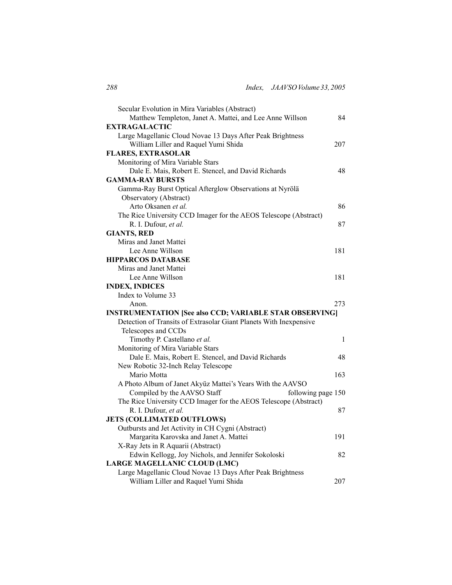| Secular Evolution in Mira Variables (Abstract)                                                     |              |
|----------------------------------------------------------------------------------------------------|--------------|
| Matthew Templeton, Janet A. Mattei, and Lee Anne Willson                                           | 84           |
| EXTRAGALACTIC                                                                                      |              |
| Large Magellanic Cloud Novae 13 Days After Peak Brightness                                         |              |
| William Liller and Raquel Yumi Shida                                                               | 207          |
| <b>FLARES, EXTRASOLAR</b>                                                                          |              |
| Monitoring of Mira Variable Stars                                                                  |              |
| Dale E. Mais, Robert E. Stencel, and David Richards                                                | 48           |
| <b>GAMMA-RAY BURSTS</b>                                                                            |              |
| Gamma-Ray Burst Optical Afterglow Observations at Nyrölä                                           |              |
| Observatory (Abstract)                                                                             |              |
| Arto Oksanen et al.                                                                                | 86           |
| The Rice University CCD Imager for the AEOS Telescope (Abstract)                                   |              |
| R. I. Dufour, et al.                                                                               | 87           |
| <b>GIANTS, RED</b>                                                                                 |              |
| Miras and Janet Mattei                                                                             |              |
| Lee Anne Willson                                                                                   | 181          |
| <b>HIPPARCOS DATABASE</b>                                                                          |              |
| Miras and Janet Mattei                                                                             |              |
| Lee Anne Willson                                                                                   | 181          |
| <b>INDEX, INDICES</b>                                                                              |              |
|                                                                                                    |              |
| Index to Volume 33                                                                                 |              |
| Anon.                                                                                              | 273          |
| <b>INSTRUMENTATION [See also CCD; VARIABLE STAR OBSERVING]</b>                                     |              |
| Detection of Transits of Extrasolar Giant Planets With Inexpensive                                 |              |
| Telescopes and CCDs                                                                                |              |
| Timothy P. Castellano et al.                                                                       | $\mathbf{1}$ |
| Monitoring of Mira Variable Stars                                                                  |              |
| Dale E. Mais, Robert E. Stencel, and David Richards                                                | 48           |
| New Robotic 32-Inch Relay Telescope                                                                |              |
| Mario Motta                                                                                        | 163          |
| A Photo Album of Janet Akyüz Mattei's Years With the AAVSO                                         |              |
| Compiled by the AAVSO Staff<br>following page 150                                                  |              |
| The Rice University CCD Imager for the AEOS Telescope (Abstract)                                   |              |
| R. I. Dufour, et al.                                                                               | 87           |
| <b>JETS (COLLIMATED OUTFLOWS)</b>                                                                  |              |
| Outbursts and Jet Activity in CH Cygni (Abstract)                                                  |              |
| Margarita Karovska and Janet A. Mattei                                                             | 191          |
| X-Ray Jets in R Aquarii (Abstract)                                                                 |              |
| Edwin Kellogg, Joy Nichols, and Jennifer Sokoloski                                                 | 82           |
| LARGE MAGELLANIC CLOUD (LMC)                                                                       |              |
| Large Magellanic Cloud Novae 13 Days After Peak Brightness<br>William Liller and Raquel Yumi Shida |              |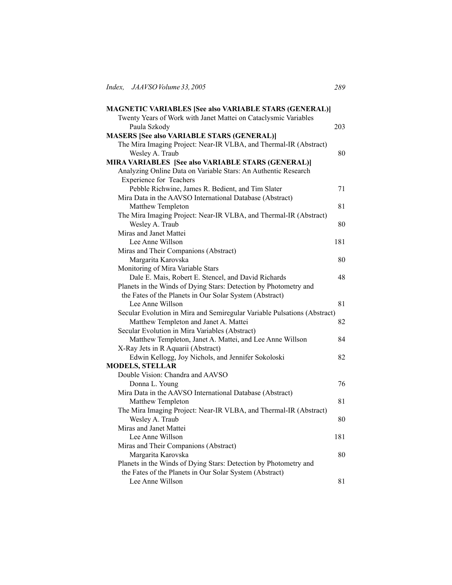| <b>MAGNETIC VARIABLES [See also VARIABLE STARS (GENERAL)]</b>            |     |
|--------------------------------------------------------------------------|-----|
| Twenty Years of Work with Janet Mattei on Cataclysmic Variables          |     |
| Paula Szkody                                                             | 203 |
| <b>MASERS [See also VARIABLE STARS (GENERAL)]</b>                        |     |
| The Mira Imaging Project: Near-IR VLBA, and Thermal-IR (Abstract)        |     |
| Wesley A. Traub                                                          | 80  |
| MIRA VARIABLES [See also VARIABLE STARS (GENERAL)]                       |     |
| Analyzing Online Data on Variable Stars: An Authentic Research           |     |
| Experience for Teachers                                                  |     |
| Pebble Richwine, James R. Bedient, and Tim Slater                        | 71  |
| Mira Data in the AAVSO International Database (Abstract)                 |     |
| Matthew Templeton                                                        | 81  |
| The Mira Imaging Project: Near-IR VLBA, and Thermal-IR (Abstract)        |     |
| Wesley A. Traub                                                          | 80  |
| Miras and Janet Mattei                                                   |     |
| Lee Anne Willson                                                         | 181 |
| Miras and Their Companions (Abstract)                                    |     |
| Margarita Karovska                                                       | 80  |
| Monitoring of Mira Variable Stars                                        |     |
| Dale E. Mais, Robert E. Stencel, and David Richards                      | 48  |
| Planets in the Winds of Dying Stars: Detection by Photometry and         |     |
| the Fates of the Planets in Our Solar System (Abstract)                  |     |
| Lee Anne Willson                                                         | 81  |
| Secular Evolution in Mira and Semiregular Variable Pulsations (Abstract) |     |
| Matthew Templeton and Janet A. Mattei                                    | 82  |
| Secular Evolution in Mira Variables (Abstract)                           |     |
| Matthew Templeton, Janet A. Mattei, and Lee Anne Willson                 | 84  |
| X-Ray Jets in R Aquarii (Abstract)                                       |     |
| Edwin Kellogg, Joy Nichols, and Jennifer Sokoloski                       | 82  |
| <b>MODELS, STELLAR</b>                                                   |     |
| Double Vision: Chandra and AAVSO                                         |     |
| Donna L. Young                                                           | 76  |
| Mira Data in the AAVSO International Database (Abstract)                 |     |
| Matthew Templeton                                                        | 81  |
| The Mira Imaging Project: Near-IR VLBA, and Thermal-IR (Abstract)        |     |
| Wesley A. Traub                                                          | 80  |
| Miras and Janet Mattei                                                   |     |
| Lee Anne Willson                                                         | 181 |
| Miras and Their Companions (Abstract)                                    |     |
| Margarita Karovska                                                       | 80  |
| Planets in the Winds of Dying Stars: Detection by Photometry and         |     |
| the Fates of the Planets in Our Solar System (Abstract)                  |     |
| Lee Anne Willson                                                         | 81  |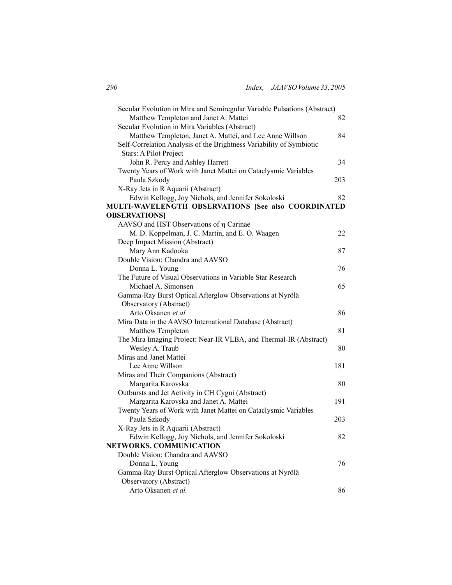| Secular Evolution in Mira and Semiregular Variable Pulsations (Abstract)        |     |
|---------------------------------------------------------------------------------|-----|
| Matthew Templeton and Janet A. Mattei                                           | 82  |
| Secular Evolution in Mira Variables (Abstract)                                  |     |
| Matthew Templeton, Janet A. Mattei, and Lee Anne Willson                        | 84  |
| Self-Correlation Analysis of the Brightness Variability of Symbiotic            |     |
| Stars: A Pilot Project                                                          |     |
| John R. Percy and Ashley Harrett                                                | 34  |
| Twenty Years of Work with Janet Mattei on Cataclysmic Variables<br>Paula Szkody | 203 |
| X-Ray Jets in R Aquarii (Abstract)                                              |     |
| Edwin Kellogg, Joy Nichols, and Jennifer Sokoloski                              | 82  |
| MULTI-WAVELENGTH OBSERVATIONS [See also COORDINATED                             |     |
| <b>OBSERVATIONS</b>                                                             |     |
| AAVSO and HST Observations of η Carinae                                         |     |
| M. D. Koppelman, J. C. Martin, and E. O. Waagen                                 | 22  |
| Deep Impact Mission (Abstract)                                                  |     |
| Mary Ann Kadooka                                                                | 87  |
| Double Vision: Chandra and AAVSO                                                |     |
| Donna L. Young                                                                  | 76  |
| The Future of Visual Observations in Variable Star Research                     |     |
| Michael A. Simonsen                                                             | 65  |
| Gamma-Ray Burst Optical Afterglow Observations at Nyrölä                        |     |
| Observatory (Abstract)                                                          |     |
| Arto Oksanen et al.                                                             | 86  |
| Mira Data in the AAVSO International Database (Abstract)                        |     |
| Matthew Templeton                                                               | 81  |
| The Mira Imaging Project: Near-IR VLBA, and Thermal-IR (Abstract)               |     |
| Wesley A. Traub                                                                 | 80  |
| Miras and Janet Mattei                                                          |     |
| Lee Anne Willson                                                                | 181 |
| Miras and Their Companions (Abstract)                                           |     |
| Margarita Karovska                                                              | 80  |
| Outbursts and Jet Activity in CH Cygni (Abstract)                               |     |
| Margarita Karovska and Janet A. Mattei                                          | 191 |
| Twenty Years of Work with Janet Mattei on Cataclysmic Variables                 |     |
| Paula Szkody                                                                    | 203 |
| X-Ray Jets in R Aquarii (Abstract)                                              |     |
| Edwin Kellogg, Joy Nichols, and Jennifer Sokoloski                              | 82  |
| NETWORKS, COMMUNICATION                                                         |     |
| Double Vision: Chandra and AAVSO                                                |     |
| Donna L. Young                                                                  | 76  |
| Gamma-Ray Burst Optical Afterglow Observations at Nyrölä                        |     |
| Observatory (Abstract)                                                          |     |
| Arto Oksanen et al.                                                             | 86  |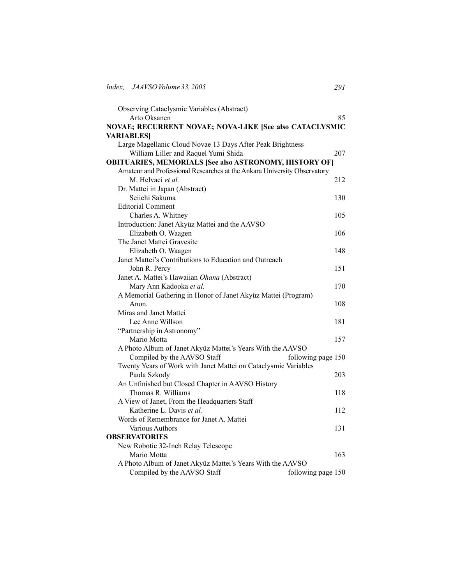| Observing Cataclysmic Variables (Abstract)<br>Arto Oksanen               | 85                 |
|--------------------------------------------------------------------------|--------------------|
| NOVAE; RECURRENT NOVAE; NOVA-LIKE [See also CATACLYSMIC                  |                    |
| <b>VARIABLES</b>                                                         |                    |
| Large Magellanic Cloud Novae 13 Days After Peak Brightness               |                    |
| William Liller and Raquel Yumi Shida                                     | 207                |
| <b>OBITUARIES, MEMORIALS [See also ASTRONOMY, HISTORY OF]</b>            |                    |
| Amateur and Professional Researches at the Ankara University Observatory |                    |
| M. Helvaci et al.                                                        | 212                |
| Dr. Mattei in Japan (Abstract)                                           |                    |
| Seiichi Sakuma                                                           | 130                |
| <b>Editorial Comment</b>                                                 |                    |
| Charles A. Whitney                                                       | 105                |
| Introduction: Janet Akyüz Mattei and the AAVSO                           |                    |
| Elizabeth O. Waagen                                                      | 106                |
| The Janet Mattei Gravesite                                               |                    |
| Elizabeth O. Waagen                                                      | 148                |
| Janet Mattei's Contributions to Education and Outreach                   |                    |
| John R. Percy                                                            | 151                |
| Janet A. Mattei's Hawaiian Ohana (Abstract)                              |                    |
| Mary Ann Kadooka et al.                                                  | 170                |
| A Memorial Gathering in Honor of Janet Akyüz Mattei (Program)            |                    |
| Anon.                                                                    | 108                |
| Miras and Janet Mattei                                                   |                    |
| Lee Anne Willson                                                         | 181                |
| "Partnership in Astronomy"                                               |                    |
| Mario Motta                                                              | 157                |
| A Photo Album of Janet Akyüz Mattei's Years With the AAVSO               |                    |
| Compiled by the AAVSO Staff                                              | following page 150 |
| Twenty Years of Work with Janet Mattei on Cataclysmic Variables          |                    |
| Paula Szkody                                                             | 203                |
| An Unfinished but Closed Chapter in AAVSO History<br>Thomas R. Williams  | 118                |
| A View of Janet, From the Headquarters Staff                             |                    |
| Katherine L. Davis et al.                                                | 112                |
| Words of Remembrance for Janet A. Mattei                                 |                    |
| Various Authors                                                          | 131                |
| <b>OBSERVATORIES</b>                                                     |                    |
| New Robotic 32-Inch Relay Telescope                                      |                    |
| Mario Motta                                                              | 163                |
| A Photo Album of Janet Akyüz Mattei's Years With the AAVSO               |                    |
| Compiled by the AAVSO Staff                                              | following page 150 |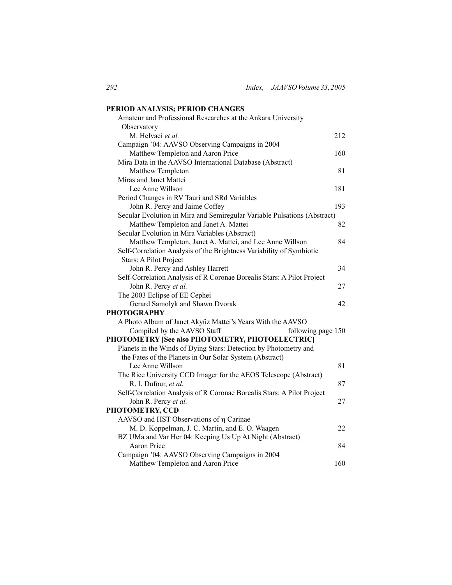| PERIOD ANALYSIS; PERIOD CHANGES                                          |     |
|--------------------------------------------------------------------------|-----|
| Amateur and Professional Researches at the Ankara University             |     |
| Observatory                                                              |     |
| M. Helvaci et al.                                                        | 212 |
| Campaign '04: AAVSO Observing Campaigns in 2004                          |     |
| Matthew Templeton and Aaron Price                                        | 160 |
| Mira Data in the AAVSO International Database (Abstract)                 |     |
| Matthew Templeton                                                        | 81  |
| Miras and Janet Mattei                                                   |     |
| Lee Anne Willson                                                         | 181 |
| Period Changes in RV Tauri and SRd Variables                             |     |
| John R. Percy and Jaime Coffey                                           | 193 |
| Secular Evolution in Mira and Semiregular Variable Pulsations (Abstract) |     |
| Matthew Templeton and Janet A. Mattei                                    | 82  |
| Secular Evolution in Mira Variables (Abstract)                           |     |
| Matthew Templeton, Janet A. Mattei, and Lee Anne Willson                 | 84  |
| Self-Correlation Analysis of the Brightness Variability of Symbiotic     |     |
| Stars: A Pilot Project                                                   |     |
| John R. Percy and Ashley Harrett                                         | 34  |
| Self-Correlation Analysis of R Coronae Borealis Stars: A Pilot Project   |     |
| John R. Percy et al.                                                     | 27  |
| The 2003 Eclipse of EE Cephei                                            |     |
| Gerard Samolyk and Shawn Dvorak                                          | 42  |
| <b>PHOTOGRAPHY</b>                                                       |     |
| A Photo Album of Janet Akyüz Mattei's Years With the AAVSO               |     |
| Compiled by the AAVSO Staff<br>following page 150                        |     |
| PHOTOMETRY [See also PHOTOMETRY, PHOTOELECTRIC]                          |     |
| Planets in the Winds of Dying Stars: Detection by Photometry and         |     |
| the Fates of the Planets in Our Solar System (Abstract)                  |     |
| Lee Anne Willson                                                         | 81  |
| The Rice University CCD Imager for the AEOS Telescope (Abstract)         |     |
| R. I. Dufour, et al.                                                     | 87  |
| Self-Correlation Analysis of R Coronae Borealis Stars: A Pilot Project   |     |
| John R. Percy et al.                                                     | 27  |
| PHOTOMETRY, CCD                                                          |     |
| AAVSO and HST Observations of η Carinae                                  |     |
| M. D. Koppelman, J. C. Martin, and E. O. Waagen                          | 22  |
| BZ UMa and Var Her 04: Keeping Us Up At Night (Abstract)                 |     |
| <b>Aaron Price</b>                                                       | 84  |
| Campaign '04: AAVSO Observing Campaigns in 2004                          |     |
| Matthew Templeton and Aaron Price                                        | 160 |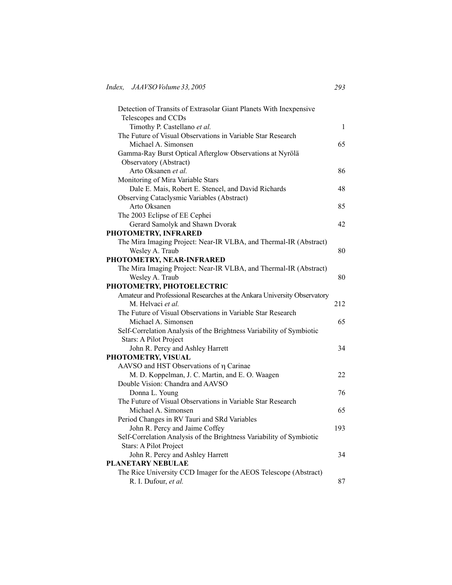| Detection of Transits of Extrasolar Giant Planets With Inexpensive       |              |
|--------------------------------------------------------------------------|--------------|
| Telescopes and CCDs                                                      |              |
| Timothy P. Castellano et al.                                             | $\mathbf{1}$ |
| The Future of Visual Observations in Variable Star Research              |              |
| Michael A. Simonsen                                                      | 65           |
| Gamma-Ray Burst Optical Afterglow Observations at Nyrölä                 |              |
| Observatory (Abstract)                                                   |              |
| Arto Oksanen et al.                                                      | 86           |
| Monitoring of Mira Variable Stars                                        |              |
| Dale E. Mais, Robert E. Stencel, and David Richards                      | 48           |
| Observing Cataclysmic Variables (Abstract)                               |              |
| Arto Oksanen                                                             | 85           |
| The 2003 Eclipse of EE Cephei                                            |              |
| Gerard Samolyk and Shawn Dvorak                                          | 42           |
| PHOTOMETRY, INFRARED                                                     |              |
| The Mira Imaging Project: Near-IR VLBA, and Thermal-IR (Abstract)        |              |
| Wesley A. Traub                                                          | 80           |
| PHOTOMETRY, NEAR-INFRARED                                                |              |
| The Mira Imaging Project: Near-IR VLBA, and Thermal-IR (Abstract)        |              |
| Wesley A. Traub                                                          | 80           |
| PHOTOMETRY, PHOTOELECTRIC                                                |              |
| Amateur and Professional Researches at the Ankara University Observatory |              |
| M. Helvaci et al.                                                        | 212          |
| The Future of Visual Observations in Variable Star Research              |              |
| Michael A. Simonsen                                                      | 65           |
| Self-Correlation Analysis of the Brightness Variability of Symbiotic     |              |
| Stars: A Pilot Project                                                   |              |
| John R. Percy and Ashley Harrett                                         | 34           |
| PHOTOMETRY, VISUAL                                                       |              |
| AAVSO and HST Observations of η Carinae                                  |              |
| M. D. Koppelman, J. C. Martin, and E. O. Waagen                          | 22           |
| Double Vision: Chandra and AAVSO                                         |              |
| Donna L. Young                                                           | 76           |
| The Future of Visual Observations in Variable Star Research              |              |
| Michael A. Simonsen                                                      | 65           |
| Period Changes in RV Tauri and SRd Variables                             |              |
| John R. Percy and Jaime Coffey                                           | 193          |
| Self-Correlation Analysis of the Brightness Variability of Symbiotic     |              |
| Stars: A Pilot Project                                                   |              |
| John R. Percy and Ashley Harrett                                         | 34           |
| <b>PLANETARY NEBULAE</b>                                                 |              |
| The Rice University CCD Imager for the AEOS Telescope (Abstract)         |              |
| R. I. Dufour, et al.                                                     | 87           |
|                                                                          |              |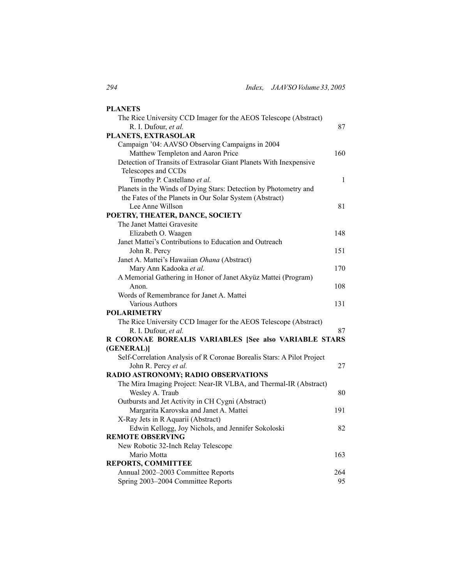| <b>PLANETS</b>                                                         |              |
|------------------------------------------------------------------------|--------------|
| The Rice University CCD Imager for the AEOS Telescope (Abstract)       |              |
| R. I. Dufour, et al.                                                   | 87           |
| PLANETS, EXTRASOLAR                                                    |              |
| Campaign '04: AAVSO Observing Campaigns in 2004                        |              |
| Matthew Templeton and Aaron Price                                      | 160          |
| Detection of Transits of Extrasolar Giant Planets With Inexpensive     |              |
| Telescopes and CCDs                                                    |              |
| Timothy P. Castellano et al.                                           | $\mathbf{1}$ |
| Planets in the Winds of Dying Stars: Detection by Photometry and       |              |
| the Fates of the Planets in Our Solar System (Abstract)                |              |
| Lee Anne Willson                                                       | 81           |
| POETRY, THEATER, DANCE, SOCIETY                                        |              |
| The Janet Mattei Gravesite                                             |              |
| Elizabeth O. Waagen                                                    | 148          |
| Janet Mattei's Contributions to Education and Outreach                 |              |
| John R. Percy                                                          | 151          |
| Janet A. Mattei's Hawaiian Ohana (Abstract)                            |              |
| Mary Ann Kadooka et al.                                                | 170          |
| A Memorial Gathering in Honor of Janet Akyüz Mattei (Program)          |              |
| Anon.                                                                  | 108          |
| Words of Remembrance for Janet A. Mattei                               |              |
| <b>Various Authors</b>                                                 | 131          |
| <b>POLARIMETRY</b>                                                     |              |
| The Rice University CCD Imager for the AEOS Telescope (Abstract)       |              |
| R. I. Dufour, et al.                                                   | 87           |
| R CORONAE BOREALIS VARIABLES [See also VARIABLE STARS                  |              |
| (GENERAL)]                                                             |              |
| Self-Correlation Analysis of R Coronae Borealis Stars: A Pilot Project |              |
| John R. Percy et al.                                                   | 27           |
| RADIO ASTRONOMY; RADIO OBSERVATIONS                                    |              |
| The Mira Imaging Project: Near-IR VLBA, and Thermal-IR (Abstract)      |              |
| Wesley A. Traub                                                        | 80           |
| Outbursts and Jet Activity in CH Cygni (Abstract)                      |              |
| Margarita Karovska and Janet A. Mattei                                 | 191          |
| X-Ray Jets in R Aquarii (Abstract)                                     |              |
| Edwin Kellogg, Joy Nichols, and Jennifer Sokoloski                     | 82           |
| <b>REMOTE OBSERVING</b>                                                |              |
| New Robotic 32-Inch Relay Telescope                                    |              |
| Mario Motta                                                            | 163          |
| <b>REPORTS, COMMITTEE</b>                                              |              |
| Annual 2002-2003 Committee Reports                                     | 264          |
| Spring 2003-2004 Committee Reports                                     | 95           |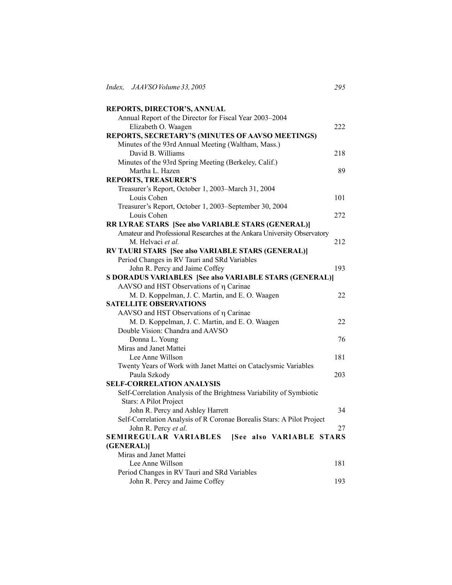| REPORTS, DIRECTOR'S, ANNUAL                                              |     |
|--------------------------------------------------------------------------|-----|
| Annual Report of the Director for Fiscal Year 2003-2004                  |     |
| Elizabeth O. Waagen                                                      | 222 |
| REPORTS, SECRETARY'S (MINUTES OF AAVSO MEETINGS)                         |     |
| Minutes of the 93rd Annual Meeting (Waltham, Mass.)                      |     |
| David B. Williams                                                        | 218 |
| Minutes of the 93rd Spring Meeting (Berkeley, Calif.)                    |     |
| Martha L. Hazen                                                          | 89  |
| <b>REPORTS, TREASURER'S</b>                                              |     |
| Treasurer's Report, October 1, 2003-March 31, 2004                       |     |
| Louis Cohen                                                              | 101 |
| Treasurer's Report, October 1, 2003-September 30, 2004                   |     |
| Louis Cohen                                                              | 272 |
| RR LYRAE STARS [See also VARIABLE STARS (GENERAL)]                       |     |
| Amateur and Professional Researches at the Ankara University Observatory |     |
| M. Helvaci et al.                                                        | 212 |
| RV TAURI STARS [See also VARIABLE STARS (GENERAL)]                       |     |
| Period Changes in RV Tauri and SRd Variables                             |     |
| John R. Percy and Jaime Coffey                                           | 193 |
| S DORADUS VARIABLES [See also VARIABLE STARS (GENERAL)]                  |     |
| AAVSO and HST Observations of η Carinae                                  |     |
| M. D. Koppelman, J. C. Martin, and E. O. Waagen                          | 22  |
| <b>SATELLITE OBSERVATIONS</b>                                            |     |
| AAVSO and HST Observations of $\eta$ Carinae                             |     |
| M. D. Koppelman, J. C. Martin, and E. O. Waagen                          | 22  |
| Double Vision: Chandra and AAVSO                                         |     |
| Donna L. Young                                                           | 76  |
| Miras and Janet Mattei                                                   |     |
| Lee Anne Willson                                                         | 181 |
| Twenty Years of Work with Janet Mattei on Cataclysmic Variables          | 203 |
| Paula Szkody<br><b>SELF-CORRELATION ANALYSIS</b>                         |     |
| Self-Correlation Analysis of the Brightness Variability of Symbiotic     |     |
| Stars: A Pilot Project                                                   |     |
| John R. Percy and Ashley Harrett                                         | 34  |
| Self-Correlation Analysis of R Coronae Borealis Stars: A Pilot Project   |     |
| John R. Percy et al.                                                     | 27  |
| SEMIREGULAR VARIABLES<br>[See also VARIABLE STARS                        |     |
| (GENERAL)]                                                               |     |
| Miras and Janet Mattei                                                   |     |
| Lee Anne Willson                                                         | 181 |
| Period Changes in RV Tauri and SRd Variables                             |     |
| John R. Percy and Jaime Coffey                                           | 193 |
|                                                                          |     |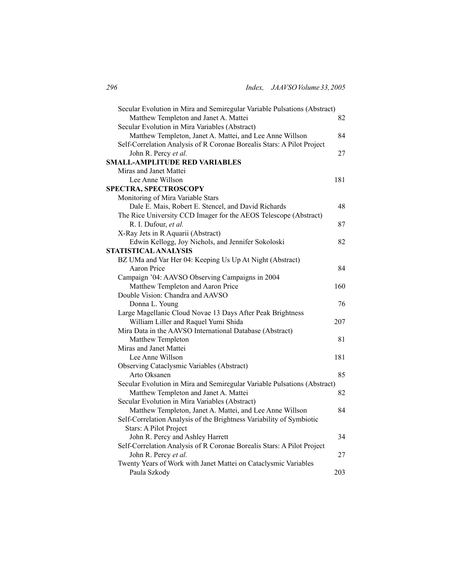| Secular Evolution in Mira and Semiregular Variable Pulsations (Abstract) |     |
|--------------------------------------------------------------------------|-----|
| Matthew Templeton and Janet A. Mattei                                    | 82  |
| Secular Evolution in Mira Variables (Abstract)                           |     |
| Matthew Templeton, Janet A. Mattei, and Lee Anne Willson                 | 84  |
| Self-Correlation Analysis of R Coronae Borealis Stars: A Pilot Project   |     |
| John R. Percy et al.                                                     | 27  |
| SMALL-AMPLITUDE RED VARIABLES                                            |     |
| Miras and Janet Mattei                                                   |     |
| Lee Anne Willson                                                         | 181 |
| <b>SPECTRA, SPECTROSCOPY</b>                                             |     |
| Monitoring of Mira Variable Stars                                        |     |
| Dale E. Mais, Robert E. Stencel, and David Richards                      | 48  |
| The Rice University CCD Imager for the AEOS Telescope (Abstract)         |     |
| R. I. Dufour, et al.                                                     | 87  |
| X-Ray Jets in R Aquarii (Abstract)                                       |     |
| Edwin Kellogg, Joy Nichols, and Jennifer Sokoloski                       | 82  |
| STATISTICAL ANALYSIS                                                     |     |
| BZ UMa and Var Her 04: Keeping Us Up At Night (Abstract)                 |     |
| Aaron Price                                                              | 84  |
| Campaign '04: AAVSO Observing Campaigns in 2004                          |     |
| Matthew Templeton and Aaron Price                                        | 160 |
| Double Vision: Chandra and AAVSO                                         |     |
| Donna L. Young                                                           | 76  |
| Large Magellanic Cloud Novae 13 Days After Peak Brightness               |     |
| William Liller and Raquel Yumi Shida                                     | 207 |
| Mira Data in the AAVSO International Database (Abstract)                 |     |
| Matthew Templeton                                                        | 81  |
| Miras and Janet Mattei                                                   |     |
| Lee Anne Willson                                                         | 181 |
| Observing Cataclysmic Variables (Abstract)                               |     |
| Arto Oksanen                                                             | 85  |
| Secular Evolution in Mira and Semiregular Variable Pulsations (Abstract) |     |
| Matthew Templeton and Janet A. Mattei                                    | 82  |
| Secular Evolution in Mira Variables (Abstract)                           |     |
| Matthew Templeton, Janet A. Mattei, and Lee Anne Willson                 | 84  |
| Self-Correlation Analysis of the Brightness Variability of Symbiotic     |     |
|                                                                          |     |
| Stars: A Pilot Project                                                   |     |
| John R. Percy and Ashley Harrett                                         | 34  |
| Self-Correlation Analysis of R Coronae Borealis Stars: A Pilot Project   |     |
| John R. Percy et al.                                                     | 27  |
| Twenty Years of Work with Janet Mattei on Cataclysmic Variables          |     |
| Paula Szkody                                                             | 203 |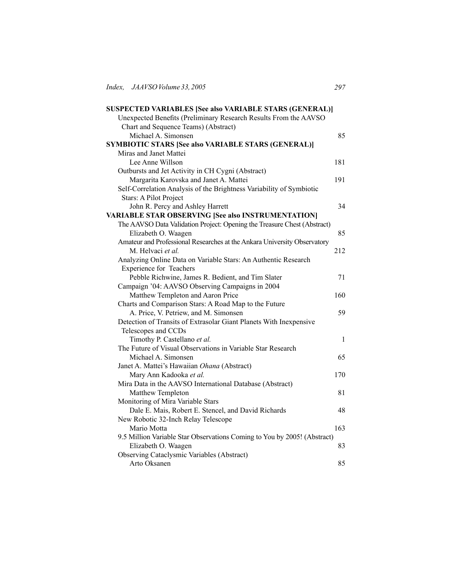| <b>SUSPECTED VARIABLES [See also VARIABLE STARS (GENERAL)]</b>           |              |
|--------------------------------------------------------------------------|--------------|
| Unexpected Benefits (Preliminary Research Results From the AAVSO         |              |
| Chart and Sequence Teams) (Abstract)                                     |              |
| Michael A. Simonsen                                                      | 85           |
| <b>SYMBIOTIC STARS [See also VARIABLE STARS (GENERAL)]</b>               |              |
| Miras and Janet Mattei                                                   |              |
| Lee Anne Willson                                                         | 181          |
| Outbursts and Jet Activity in CH Cygni (Abstract)                        |              |
| Margarita Karovska and Janet A. Mattei                                   | 191          |
| Self-Correlation Analysis of the Brightness Variability of Symbiotic     |              |
| Stars: A Pilot Project                                                   |              |
| John R. Percy and Ashley Harrett                                         | 34           |
| <b>VARIABLE STAR OBSERVING [See also INSTRUMENTATION]</b>                |              |
| The AAVSO Data Validation Project: Opening the Treasure Chest (Abstract) |              |
| Elizabeth O. Waagen                                                      | 85           |
| Amateur and Professional Researches at the Ankara University Observatory |              |
| M. Helvaci et al.                                                        | 212          |
| Analyzing Online Data on Variable Stars: An Authentic Research           |              |
| <b>Experience for Teachers</b>                                           |              |
| Pebble Richwine, James R. Bedient, and Tim Slater                        | 71           |
| Campaign '04: AAVSO Observing Campaigns in 2004                          |              |
| Matthew Templeton and Aaron Price                                        | 160          |
| Charts and Comparison Stars: A Road Map to the Future                    |              |
| A. Price, V. Petriew, and M. Simonsen                                    | 59           |
| Detection of Transits of Extrasolar Giant Planets With Inexpensive       |              |
| Telescopes and CCDs                                                      |              |
| Timothy P. Castellano et al.                                             | $\mathbf{1}$ |
| The Future of Visual Observations in Variable Star Research              |              |
| Michael A. Simonsen                                                      | 65           |
| Janet A. Mattei's Hawaiian Ohana (Abstract)                              |              |
| Mary Ann Kadooka et al.                                                  | 170          |
| Mira Data in the AAVSO International Database (Abstract)                 |              |
| Matthew Templeton                                                        | 81           |
| Monitoring of Mira Variable Stars                                        |              |
| Dale E. Mais, Robert E. Stencel, and David Richards                      | 48           |
| New Robotic 32-Inch Relay Telescope                                      |              |
| Mario Motta                                                              | 163          |
| 9.5 Million Variable Star Observations Coming to You by 2005! (Abstract) | 83           |
| Elizabeth O. Waagen                                                      |              |
| Observing Cataclysmic Variables (Abstract)<br>Arto Oksanen               | 85           |
|                                                                          |              |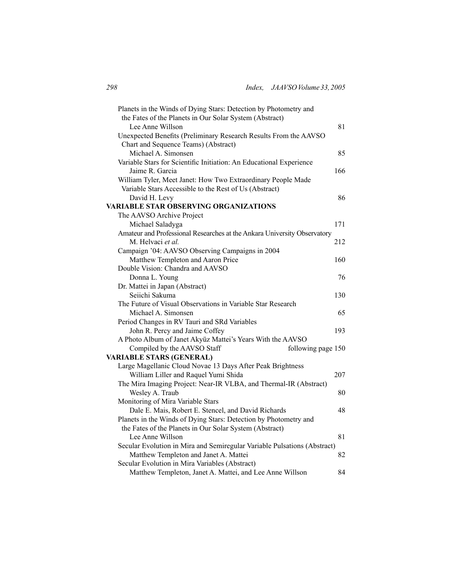| Planets in the Winds of Dying Stars: Detection by Photometry and            |     |
|-----------------------------------------------------------------------------|-----|
| the Fates of the Planets in Our Solar System (Abstract)<br>Lee Anne Willson | 81  |
|                                                                             |     |
| Unexpected Benefits (Preliminary Research Results From the AAVSO            |     |
| Chart and Sequence Teams) (Abstract)                                        |     |
| Michael A. Simonsen                                                         | 85  |
| Variable Stars for Scientific Initiation: An Educational Experience         |     |
| Jaime R. Garcia                                                             | 166 |
| William Tyler, Meet Janet: How Two Extraordinary People Made                |     |
| Variable Stars Accessible to the Rest of Us (Abstract)                      |     |
| David H. Levy                                                               | 86  |
| VARIABLE STAR OBSERVING ORGANIZATIONS                                       |     |
| The AAVSO Archive Project                                                   |     |
| Michael Saladyga                                                            | 171 |
| Amateur and Professional Researches at the Ankara University Observatory    |     |
| M. Helvaci et al.                                                           | 212 |
| Campaign '04: AAVSO Observing Campaigns in 2004                             |     |
| Matthew Templeton and Aaron Price                                           | 160 |
| Double Vision: Chandra and AAVSO                                            |     |
| Donna L. Young                                                              | 76  |
| Dr. Mattei in Japan (Abstract)                                              |     |
| Seiichi Sakuma                                                              | 130 |
| The Future of Visual Observations in Variable Star Research                 |     |
| Michael A. Simonsen                                                         | 65  |
| Period Changes in RV Tauri and SRd Variables                                |     |
| John R. Percy and Jaime Coffey                                              | 193 |
| A Photo Album of Janet Akyüz Mattei's Years With the AAVSO                  |     |
| Compiled by the AAVSO Staff<br>following page 150                           |     |
| <b>VARIABLE STARS (GENERAL)</b>                                             |     |
| Large Magellanic Cloud Novae 13 Days After Peak Brightness                  |     |
| William Liller and Raquel Yumi Shida                                        | 207 |
|                                                                             |     |
| The Mira Imaging Project: Near-IR VLBA, and Thermal-IR (Abstract)           |     |
| Wesley A. Traub                                                             | 80  |
| Monitoring of Mira Variable Stars                                           |     |
| Dale E. Mais, Robert E. Stencel, and David Richards                         | 48  |
| Planets in the Winds of Dying Stars: Detection by Photometry and            |     |
| the Fates of the Planets in Our Solar System (Abstract)                     |     |
| Lee Anne Willson                                                            | 81  |
| Secular Evolution in Mira and Semiregular Variable Pulsations (Abstract)    |     |
| Matthew Templeton and Janet A. Mattei                                       | 82  |
| Secular Evolution in Mira Variables (Abstract)                              |     |
| Matthew Templeton, Janet A. Mattei, and Lee Anne Willson                    | 84  |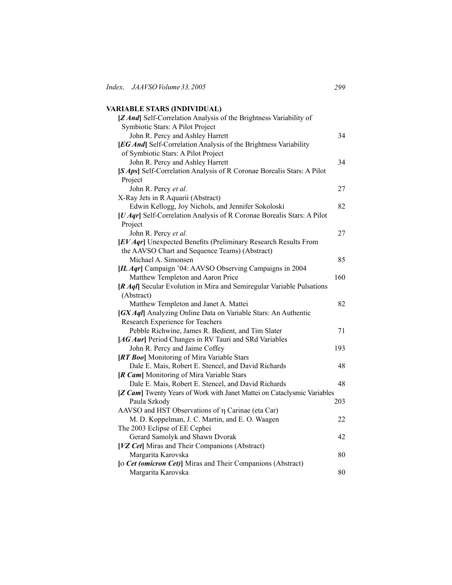## **VARIABLE STARS (INDIVIDUAL)**

| [Z And] Self-Correlation Analysis of the Brightness Variability of      |     |
|-------------------------------------------------------------------------|-----|
| Symbiotic Stars: A Pilot Project                                        |     |
| John R. Percy and Ashley Harrett                                        | 34  |
| [EG And] Self-Correlation Analysis of the Brightness Variability        |     |
| of Symbiotic Stars: A Pilot Project                                     |     |
| John R. Percy and Ashley Harrett                                        | 34  |
| [S Aps] Self-Correlation Analysis of R Coronae Borealis Stars: A Pilot  |     |
| Project                                                                 |     |
| John R. Percy et al.                                                    | 27  |
| X-Ray Jets in R Aquarii (Abstract)                                      |     |
| Edwin Kellogg, Joy Nichols, and Jennifer Sokoloski                      | 82  |
| [U Aqr] Self-Correlation Analysis of R Coronae Borealis Stars: A Pilot  |     |
| Project                                                                 |     |
| John R. Percy et al.                                                    | 27  |
| [EV Aqr] Unexpected Benefits (Preliminary Research Results From         |     |
| the AAVSO Chart and Sequence Teams) (Abstract)                          |     |
| Michael A. Simonsen                                                     | 85  |
| [IL Aqr] Campaign '04: AAVSO Observing Campaigns in 2004                |     |
| Matthew Templeton and Aaron Price                                       | 160 |
| [R Aql] Secular Evolution in Mira and Semiregular Variable Pulsations   |     |
| (Abstract)                                                              |     |
| Matthew Templeton and Janet A. Mattei                                   | 82  |
| [GX Aql] Analyzing Online Data on Variable Stars: An Authentic          |     |
| Research Experience for Teachers                                        |     |
| Pebble Richwine, James R. Bedient, and Tim Slater                       | 71  |
| [AG Aur] Period Changes in RV Tauri and SRd Variables                   |     |
| John R. Percy and Jaime Coffey                                          | 193 |
| [RT Boo] Monitoring of Mira Variable Stars                              |     |
| Dale E. Mais, Robert E. Stencel, and David Richards                     | 48  |
| [R Cam] Monitoring of Mira Variable Stars                               |     |
| Dale E. Mais, Robert E. Stencel, and David Richards                     | 48  |
| [Z Cam] Twenty Years of Work with Janet Mattei on Cataclysmic Variables |     |
| Paula Szkody                                                            | 203 |
| AAVSO and HST Observations of $\eta$ Carinae (eta Car)                  |     |
| M. D. Koppelman, J. C. Martin, and E. O. Waagen                         | 22  |
| The 2003 Eclipse of EE Cephei                                           |     |
| Gerard Samolyk and Shawn Dvorak                                         | 42  |
| [VZ Cet] Miras and Their Companions (Abstract)                          |     |
| Margarita Karovska                                                      | 80  |
|                                                                         |     |
| [o Cet (omicron Cet)] Miras and Their Companions (Abstract)             |     |
| Margarita Karovska                                                      | 80  |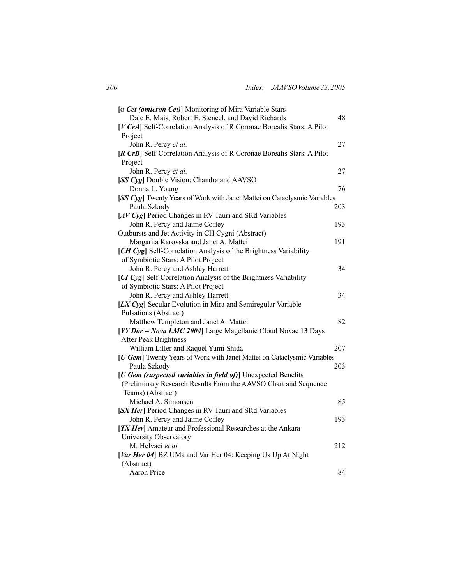| [o Cet (omicron Cet)] Monitoring of Mira Variable Stars                  |     |
|--------------------------------------------------------------------------|-----|
| Dale E. Mais, Robert E. Stencel, and David Richards                      | 48  |
| [V CrA] Self-Correlation Analysis of R Coronae Borealis Stars: A Pilot   |     |
| Project                                                                  |     |
| John R. Percy et al.                                                     | 27  |
| [R CrB] Self-Correlation Analysis of R Coronae Borealis Stars: A Pilot   |     |
| Project                                                                  |     |
| John R. Percy et al.                                                     | 27  |
| [SS Cyg] Double Vision: Chandra and AAVSO                                |     |
| Donna L. Young                                                           | 76  |
| [SS Cyg] Twenty Years of Work with Janet Mattei on Cataclysmic Variables |     |
| Paula Szkody                                                             | 203 |
| [AV Cyg] Period Changes in RV Tauri and SRd Variables                    |     |
| John R. Percy and Jaime Coffey                                           | 193 |
| Outbursts and Jet Activity in CH Cygni (Abstract)                        |     |
| Margarita Karovska and Janet A. Mattei                                   | 191 |
| [CH Cyg] Self-Correlation Analysis of the Brightness Variability         |     |
| of Symbiotic Stars: A Pilot Project                                      |     |
| John R. Percy and Ashley Harrett                                         | 34  |
| [CI Cyg] Self-Correlation Analysis of the Brightness Variability         |     |
| of Symbiotic Stars: A Pilot Project                                      |     |
| John R. Percy and Ashley Harrett                                         | 34  |
| [LX Cyg] Secular Evolution in Mira and Semiregular Variable              |     |
| Pulsations (Abstract)                                                    |     |
| Matthew Templeton and Janet A. Mattei                                    | 82  |
| [YY Dor = Nova LMC 2004] Large Magellanic Cloud Novae 13 Days            |     |
| After Peak Brightness                                                    |     |
| William Liller and Raquel Yumi Shida                                     | 207 |
| [U Gem] Twenty Years of Work with Janet Mattei on Cataclysmic Variables  |     |
| Paula Szkody                                                             | 203 |
| [U Gem (suspected variables in field of)] Unexpected Benefits            |     |
| (Preliminary Research Results From the AAVSO Chart and Sequence          |     |
| Teams) (Abstract)                                                        |     |
| Michael A. Simonsen                                                      | 85  |
| [SX Her] Period Changes in RV Tauri and SRd Variables                    |     |
| John R. Percy and Jaime Coffey                                           | 193 |
| [TX Her] Amateur and Professional Researches at the Ankara               |     |
| University Observatory                                                   |     |
| M. Helvaci et al.                                                        | 212 |
| [Var Her 04] BZ UMa and Var Her 04: Keeping Us Up At Night               |     |
| (Abstract)                                                               |     |
| <b>Aaron Price</b>                                                       | 84  |
|                                                                          |     |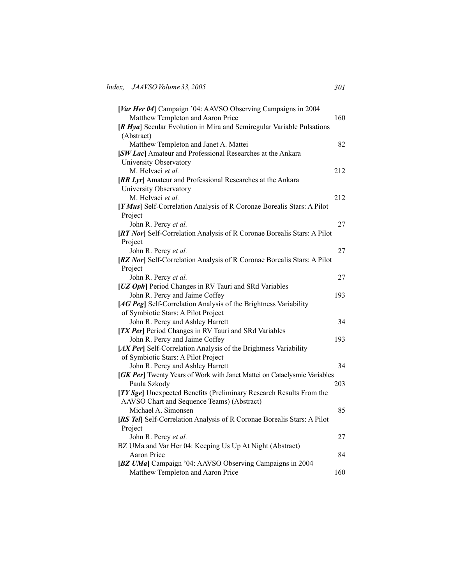| [Var Her 04] Campaign '04: AAVSO Observing Campaigns in 2004             |     |
|--------------------------------------------------------------------------|-----|
| Matthew Templeton and Aaron Price                                        | 160 |
| [R Hya] Secular Evolution in Mira and Semiregular Variable Pulsations    |     |
| (Abstract)                                                               |     |
| Matthew Templeton and Janet A. Mattei                                    | 82  |
| [SW Lac] Amateur and Professional Researches at the Ankara               |     |
| University Observatory                                                   |     |
| M. Helvaci et al.                                                        | 212 |
| [RR Lyr] Amateur and Professional Researches at the Ankara               |     |
| University Observatory                                                   |     |
| M. Helvaci et al.                                                        | 212 |
| [Y Mus] Self-Correlation Analysis of R Coronae Borealis Stars: A Pilot   |     |
| Project                                                                  |     |
| John R. Percy et al.                                                     | 27  |
| [RT Nor] Self-Correlation Analysis of R Coronae Borealis Stars: A Pilot  |     |
| Project                                                                  |     |
| John R. Percy et al.                                                     | 27  |
| [RZ Nor] Self-Correlation Analysis of R Coronae Borealis Stars: A Pilot  |     |
| Project                                                                  |     |
| John R. Percy et al.                                                     | 27  |
| [UZ Oph] Period Changes in RV Tauri and SRd Variables                    |     |
| John R. Percy and Jaime Coffey                                           | 193 |
| [AG Peg] Self-Correlation Analysis of the Brightness Variability         |     |
| of Symbiotic Stars: A Pilot Project                                      |     |
| John R. Percy and Ashley Harrett                                         | 34  |
| [TX Per] Period Changes in RV Tauri and SRd Variables                    |     |
| John R. Percy and Jaime Coffey                                           | 193 |
| [AX Per] Self-Correlation Analysis of the Brightness Variability         |     |
| of Symbiotic Stars: A Pilot Project                                      |     |
| John R. Percy and Ashley Harrett                                         | 34  |
| [GK Per] Twenty Years of Work with Janet Mattei on Cataclysmic Variables |     |
| Paula Szkody                                                             | 203 |
| [TY Sge] Unexpected Benefits (Preliminary Research Results From the      |     |
| AAVSO Chart and Sequence Teams) (Abstract)                               |     |
| Michael A. Simonsen                                                      | 85  |
| [RS Tel] Self-Correlation Analysis of R Coronae Borealis Stars: A Pilot  |     |
| Project                                                                  |     |
| John R. Percy et al.                                                     | 27  |
| BZ UMa and Var Her 04: Keeping Us Up At Night (Abstract)                 |     |
| <b>Aaron Price</b>                                                       | 84  |
| [BZ UMa] Campaign '04: AAVSO Observing Campaigns in 2004                 |     |
| Matthew Templeton and Aaron Price                                        | 160 |
|                                                                          |     |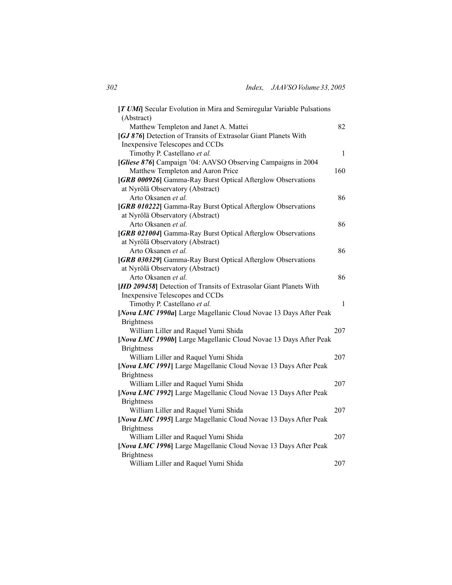| [T UMi] Secular Evolution in Mira and Semiregular Variable Pulsations |     |
|-----------------------------------------------------------------------|-----|
| (Abstract)                                                            | 82  |
| Matthew Templeton and Janet A. Mattei                                 |     |
| [GJ 876] Detection of Transits of Extrasolar Giant Planets With       |     |
| Inexpensive Telescopes and CCDs                                       |     |
| Timothy P. Castellano et al.                                          | 1   |
| [Gliese 876] Campaign '04: AAVSO Observing Campaigns in 2004          |     |
| Matthew Templeton and Aaron Price                                     | 160 |
| [GRB 000926] Gamma-Ray Burst Optical Afterglow Observations           |     |
| at Nyrölä Observatory (Abstract)                                      |     |
| Arto Oksanen et al.                                                   | 86  |
| [GRB 010222] Gamma-Ray Burst Optical Afterglow Observations           |     |
| at Nyrölä Observatory (Abstract)                                      |     |
| Arto Oksanen et al.                                                   | 86  |
| [GRB 021004] Gamma-Ray Burst Optical Afterglow Observations           |     |
| at Nyrölä Observatory (Abstract)                                      |     |
| Arto Oksanen et al.                                                   | 86  |
| [GRB 030329] Gamma-Ray Burst Optical Afterglow Observations           |     |
| at Nyrölä Observatory (Abstract)                                      |     |
| Arto Oksanen et al.                                                   | 86  |
| [HD 209458] Detection of Transits of Extrasolar Giant Planets With    |     |
| Inexpensive Telescopes and CCDs                                       |     |
| Timothy P. Castellano et al.                                          | 1   |
| [Nova LMC 1990a] Large Magellanic Cloud Novae 13 Days After Peak      |     |
| <b>Brightness</b>                                                     |     |
| William Liller and Raquel Yumi Shida                                  | 207 |
| [Nova LMC 1990b] Large Magellanic Cloud Novae 13 Days After Peak      |     |
| <b>Brightness</b>                                                     |     |
| William Liller and Raquel Yumi Shida                                  | 207 |
| [Nova LMC 1991] Large Magellanic Cloud Novae 13 Days After Peak       |     |
| <b>Brightness</b>                                                     |     |
| William Liller and Raquel Yumi Shida                                  | 207 |
| [Nova LMC 1992] Large Magellanic Cloud Novae 13 Days After Peak       |     |
| <b>Brightness</b>                                                     |     |
| William Liller and Raquel Yumi Shida                                  | 207 |
| [Nova LMC 1995] Large Magellanic Cloud Novae 13 Days After Peak       |     |
| <b>Brightness</b>                                                     |     |
| William Liller and Raquel Yumi Shida                                  | 207 |
| [Nova LMC 1996] Large Magellanic Cloud Novae 13 Days After Peak       |     |
| <b>Brightness</b>                                                     |     |
| William Liller and Raquel Yumi Shida                                  | 207 |
|                                                                       |     |